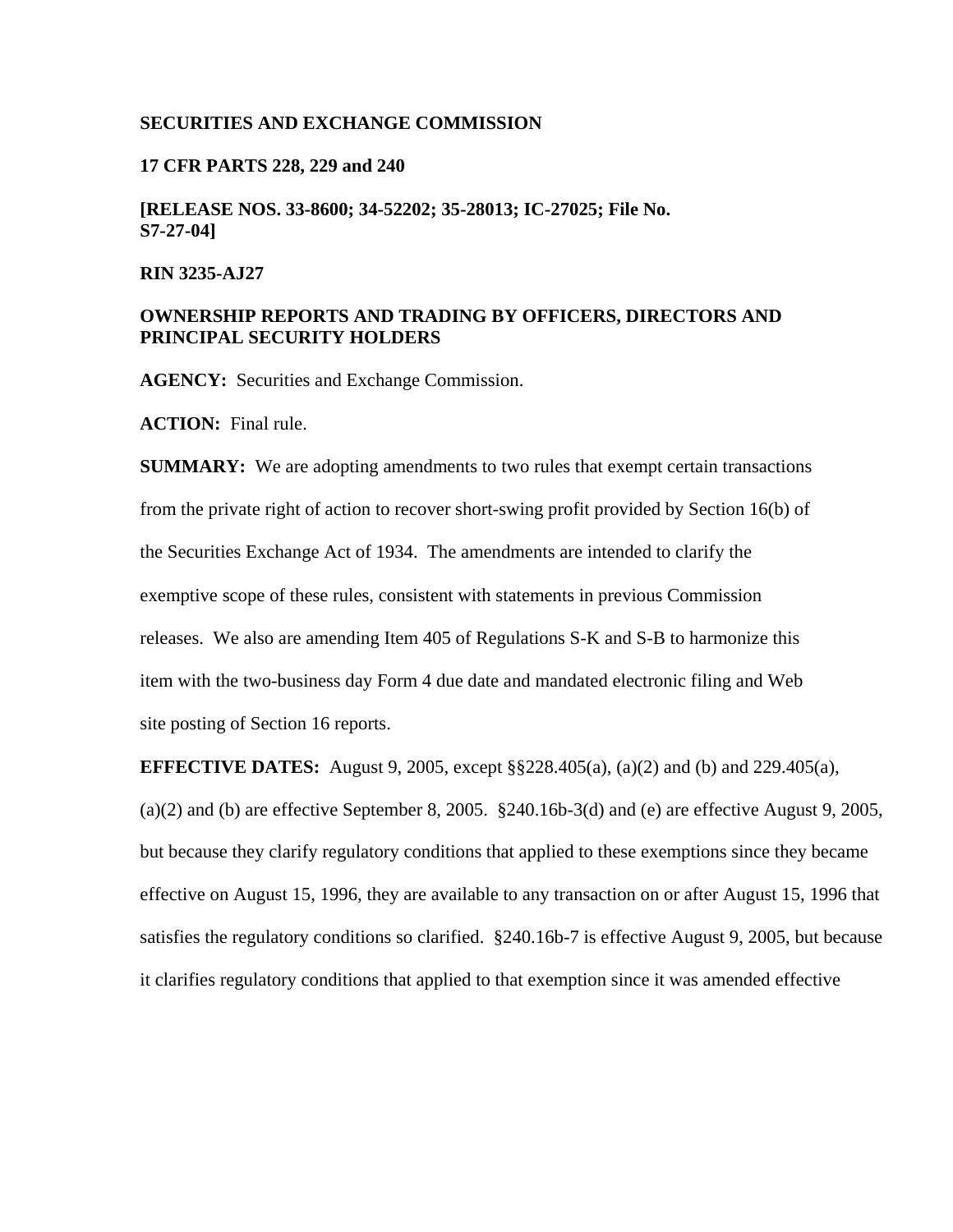### **SECURITIES AND EXCHANGE COMMISSION**

### **17 CFR PARTS 228, 229 and 240**

**[RELEASE NOS. 33-8600; 34-52202; 35-28013; IC-27025; File No. S7-27-04]** 

### **RIN 3235-AJ27**

# **OWNERSHIP REPORTS AND TRADING BY OFFICERS, DIRECTORS AND PRINCIPAL SECURITY HOLDERS**

**AGENCY:** Securities and Exchange Commission.

**ACTION:** Final rule.

**SUMMARY:** We are adopting amendments to two rules that exempt certain transactions from the private right of action to recover short-swing profit provided by Section 16(b) of the Securities Exchange Act of 1934. The amendments are intended to clarify the exemptive scope of these rules, consistent with statements in previous Commission releases. We also are amending Item 405 of Regulations S-K and S-B to harmonize this item with the two-business day Form 4 due date and mandated electronic filing and Web site posting of Section 16 reports.

**EFFECTIVE DATES:** August 9, 2005, except §§228.405(a), (a)(2) and (b) and 229.405(a),  $(a)(2)$  and (b) are effective September 8, 2005. §240.16b-3(d) and (e) are effective August 9, 2005, but because they clarify regulatory conditions that applied to these exemptions since they became effective on August 15, 1996, they are available to any transaction on or after August 15, 1996 that satisfies the regulatory conditions so clarified. §240.16b-7 is effective August 9, 2005, but because it clarifies regulatory conditions that applied to that exemption since it was amended effective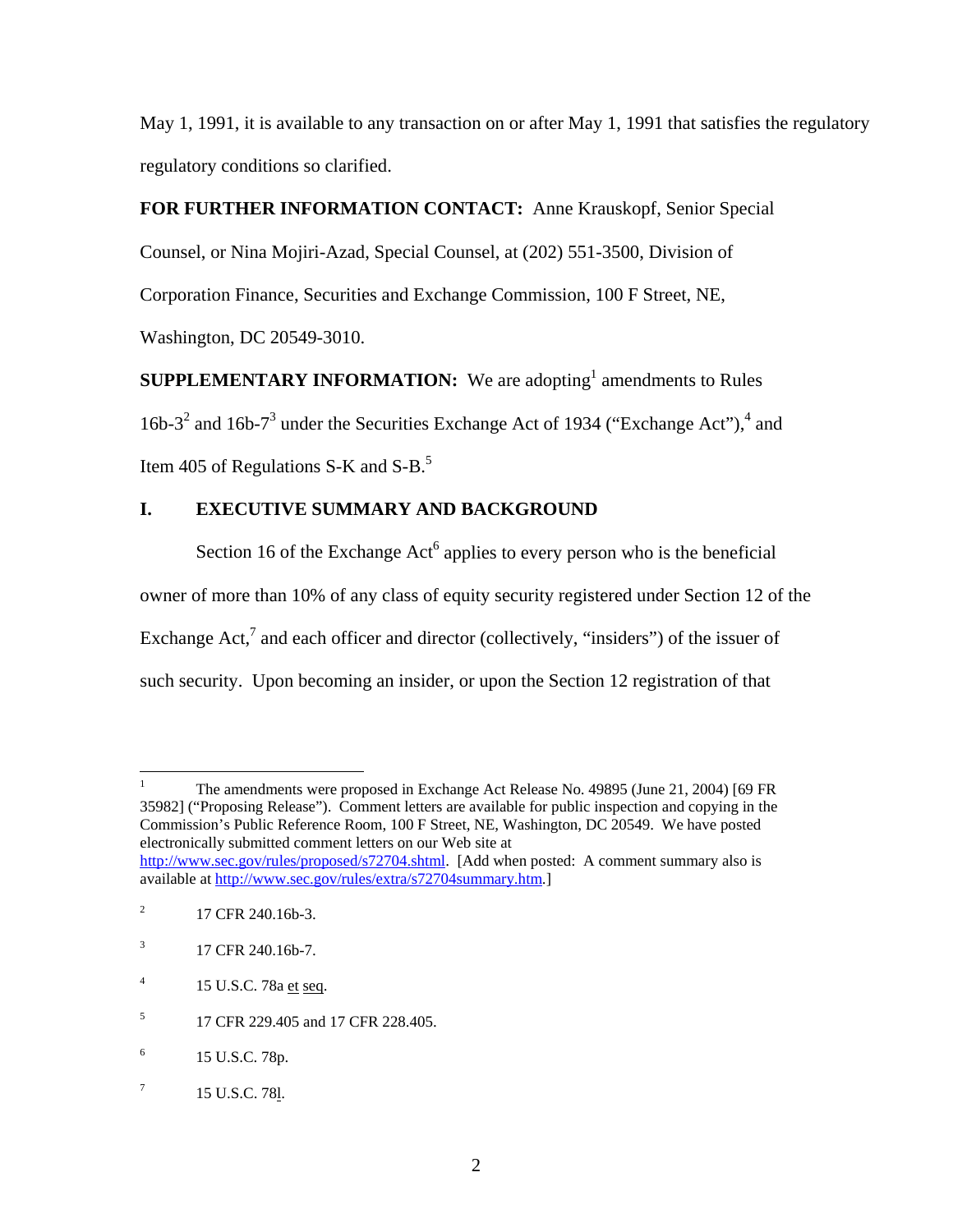May 1, 1991, it is available to any transaction on or after May 1, 1991 that satisfies the regulatory regulatory conditions so clarified.

# **FOR FURTHER INFORMATION CONTACT:** Anne Krauskopf, Senior Special

Counsel, or Nina Mojiri-Azad, Special Counsel, at (202) 551-3500, Division of

Corporation Finance, Securities and Exchange Commission, 100 F Street, NE,

Washington, DC 20549-3010.

**SUPPLEMENTARY INFORMATION:** We are adopting<sup>1</sup> amendments to Rules 16b-3<sup>2</sup> and 16b-7<sup>3</sup> under the Securities Exchange Act of 1934 ("Exchange Act"),<sup>4</sup> and Item 405 of Regulations S-K and  $S-B$ .<sup>5</sup>

# **I. EXECUTIVE SUMMARY AND BACKGROUND**

Section 16 of the Exchange  $Act^6$  applies to every person who is the beneficial owner of more than 10% of any class of equity security registered under Section 12 of the Exchange Act,<sup>7</sup> and each officer and director (collectively, "insiders") of the issuer of such security. Upon becoming an insider, or upon the Section 12 registration of that

 $\overline{a}$ 1 The amendments were proposed in Exchange Act Release No. 49895 (June 21, 2004) [69 FR 35982] ("Proposing Release"). Comment letters are available for public inspection and copying in the Commission's Public Reference Room, 100 F Street, NE, Washington, DC 20549. We have posted electronically submitted comment letters on our Web site at http://www.sec.gov/rules/proposed/s72704.shtml. [Add when posted: A comment summary also is available at http://www.sec.gov/rules/extra/s72704summary.htm.]

<sup>2</sup> 17 CFR 240.16b-3.

<sup>3</sup> 17 CFR 240.16b-7.

<sup>4</sup> 15 U.S.C. 78a et seq.

<sup>5</sup> 17 CFR 229.405 and 17 CFR 228.405.

<sup>6</sup> 15 U.S.C. 78p.

<sup>7</sup> 15 U.S.C. 78l.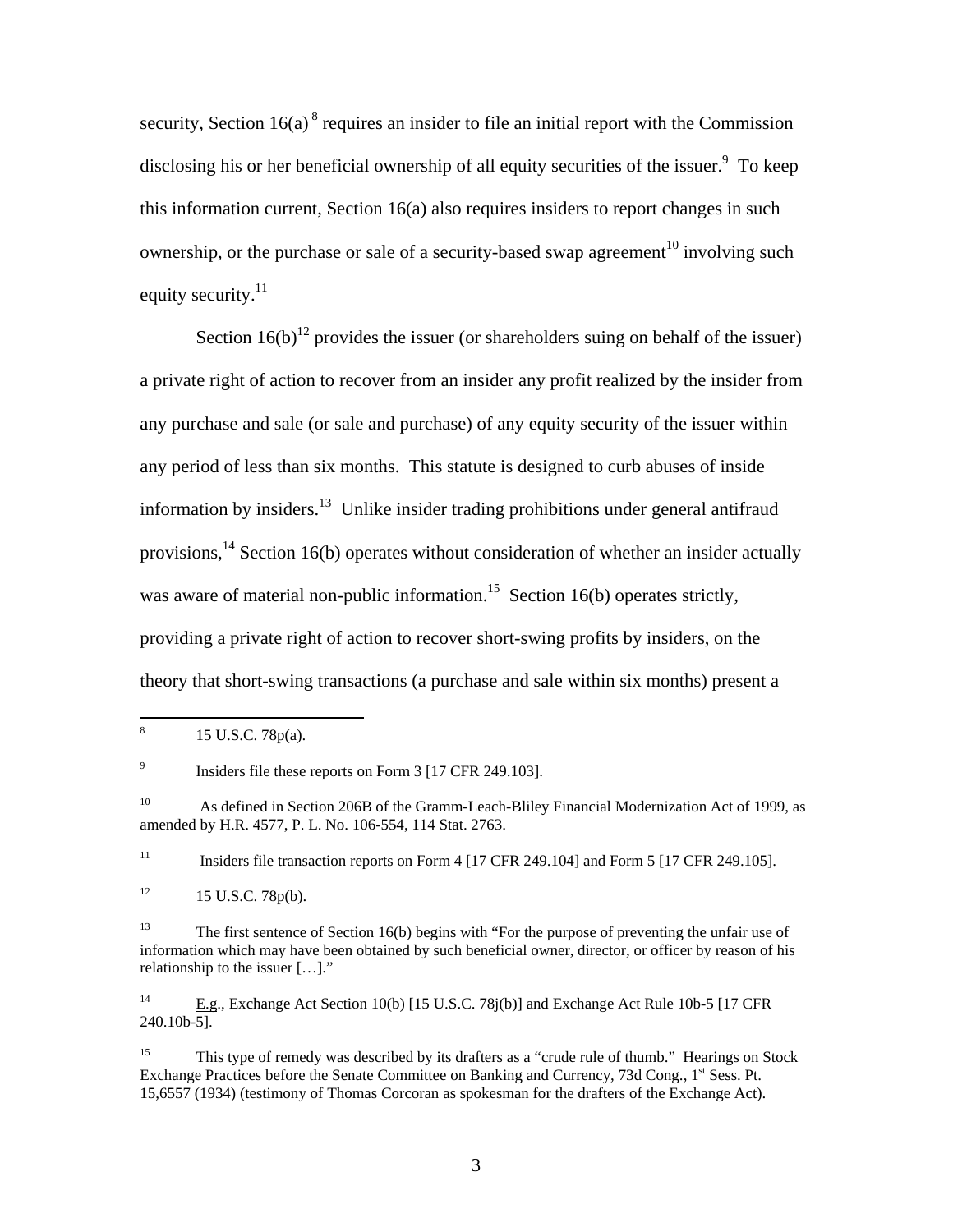security, Section  $16(a)$ <sup>8</sup> requires an insider to file an initial report with the Commission disclosing his or her beneficial ownership of all equity securities of the issuer. $9$  To keep this information current, Section 16(a) also requires insiders to report changes in such ownership, or the purchase or sale of a security-based swap agreement<sup>10</sup> involving such equity security. $^{11}$ 

Section  $16(b)^{12}$  provides the issuer (or shareholders suing on behalf of the issuer) a private right of action to recover from an insider any profit realized by the insider from any purchase and sale (or sale and purchase) of any equity security of the issuer within any period of less than six months. This statute is designed to curb abuses of inside information by insiders.<sup>13</sup> Unlike insider trading prohibitions under general antifraud provisions,  $14$  Section 16(b) operates without consideration of whether an insider actually was aware of material non-public information.<sup>15</sup> Section 16(b) operates strictly, providing a private right of action to recover short-swing profits by insiders, on the theory that short-swing transactions (a purchase and sale within six months) present a

<sup>11</sup> Insiders file transaction reports on Form 4 [17 CFR 249.104] and Form 5 [17 CFR 249.105].

 $12 \t15$  U.S.C. 78p(b).

<sup>14</sup> E.g., Exchange Act Section 10(b) [15 U.S.C. 78j(b)] and Exchange Act Rule 10b-5 [17 CFR 240.10b-5].

 $\frac{1}{8}$ 15 U.S.C. 78p(a).

<sup>9</sup> Insiders file these reports on Form 3 [17 CFR 249.103].

<sup>&</sup>lt;sup>10</sup> As defined in Section 206B of the Gramm-Leach-Bliley Financial Modernization Act of 1999, as amended by H.R. 4577, P. L. No. 106-554, 114 Stat. 2763.

<sup>&</sup>lt;sup>13</sup> The first sentence of Section 16(b) begins with "For the purpose of preventing the unfair use of information which may have been obtained by such beneficial owner, director, or officer by reason of his relationship to the issuer […]."

<sup>&</sup>lt;sup>15</sup> This type of remedy was described by its drafters as a "crude rule of thumb." Hearings on Stock Exchange Practices before the Senate Committee on Banking and Currency, 73d Cong., 1<sup>st</sup> Sess. Pt. 15,6557 (1934) (testimony of Thomas Corcoran as spokesman for the drafters of the Exchange Act).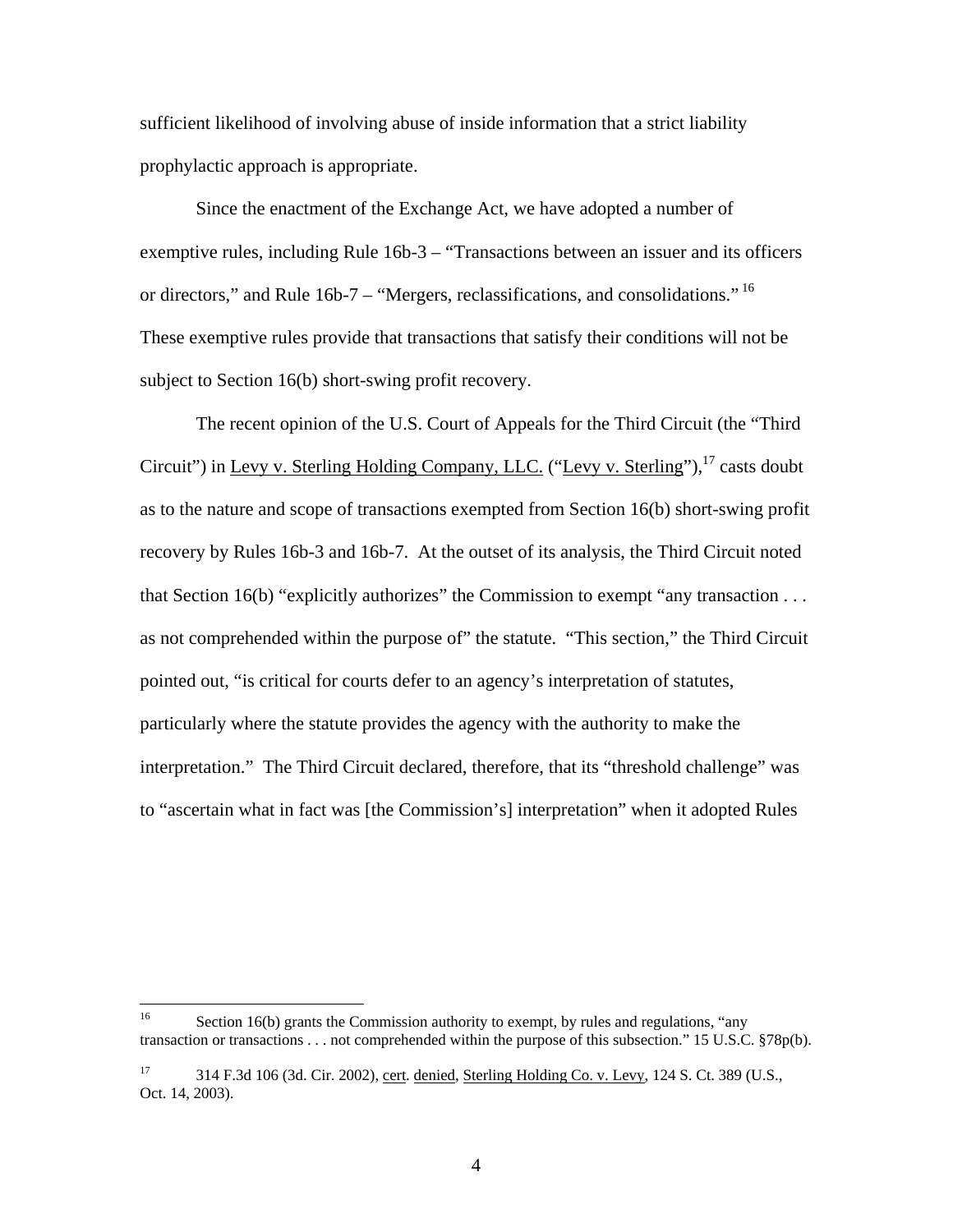sufficient likelihood of involving abuse of inside information that a strict liability prophylactic approach is appropriate.

Since the enactment of the Exchange Act, we have adopted a number of exemptive rules, including Rule 16b-3 – "Transactions between an issuer and its officers or directors," and Rule 16b-7 – "Mergers, reclassifications, and consolidations." <sup>16</sup> These exemptive rules provide that transactions that satisfy their conditions will not be subject to Section 16(b) short-swing profit recovery.

The recent opinion of the U.S. Court of Appeals for the Third Circuit (the "Third Circuit") in Levy v. Sterling Holding Company, LLC. ("Levy v. Sterling"),<sup>17</sup> casts doubt as to the nature and scope of transactions exempted from Section 16(b) short-swing profit recovery by Rules 16b-3 and 16b-7. At the outset of its analysis, the Third Circuit noted that Section 16(b) "explicitly authorizes" the Commission to exempt "any transaction  $\dots$ as not comprehended within the purpose of" the statute. "This section," the Third Circuit pointed out, "is critical for courts defer to an agency's interpretation of statutes, particularly where the statute provides the agency with the authority to make the interpretation." The Third Circuit declared, therefore, that its "threshold challenge" was to "ascertain what in fact was [the Commission's] interpretation" when it adopted Rules

<sup>16</sup> Section 16(b) grants the Commission authority to exempt, by rules and regulations, "any transaction or transactions . . . not comprehended within the purpose of this subsection." 15 U.S.C. §78p(b).

<sup>17 314</sup> F.3d 106 (3d. Cir. 2002), cert. denied, Sterling Holding Co. v. Levy, 124 S. Ct. 389 (U.S., Oct. 14, 2003).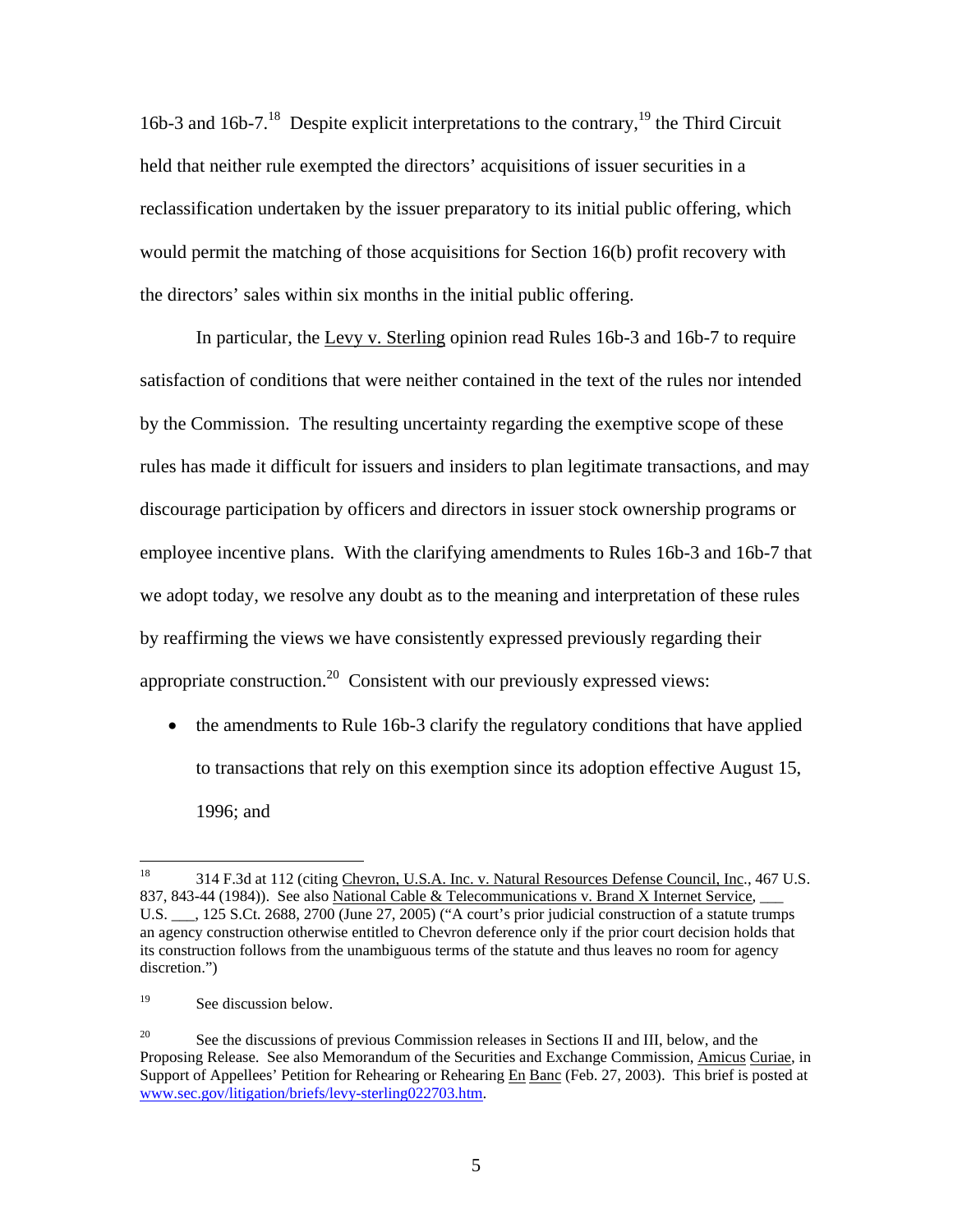16b-3 and 16b-7.<sup>18</sup> Despite explicit interpretations to the contrary,<sup>19</sup> the Third Circuit held that neither rule exempted the directors' acquisitions of issuer securities in a reclassification undertaken by the issuer preparatory to its initial public offering, which would permit the matching of those acquisitions for Section 16(b) profit recovery with the directors' sales within six months in the initial public offering.

In particular, the Levy v. Sterling opinion read Rules 16b-3 and 16b-7 to require satisfaction of conditions that were neither contained in the text of the rules nor intended by the Commission. The resulting uncertainty regarding the exemptive scope of these rules has made it difficult for issuers and insiders to plan legitimate transactions, and may discourage participation by officers and directors in issuer stock ownership programs or employee incentive plans. With the clarifying amendments to Rules 16b-3 and 16b-7 that we adopt today, we resolve any doubt as to the meaning and interpretation of these rules by reaffirming the views we have consistently expressed previously regarding their appropriate construction.20 Consistent with our previously expressed views:

• the amendments to Rule 16b-3 clarify the regulatory conditions that have applied to transactions that rely on this exemption since its adoption effective August 15, 1996; and

 $18\,$ 18 314 F.3d at 112 (citing Chevron, U.S.A. Inc. v. Natural Resources Defense Council, Inc., 467 U.S. 837, 843-44 (1984)). See also National Cable & Telecommunications v. Brand X Internet Service, U.S. \_\_\_, 125 S.Ct. 2688, 2700 (June 27, 2005) ("A court's prior judicial construction of a statute trumps an agency construction otherwise entitled to Chevron deference only if the prior court decision holds that its construction follows from the unambiguous terms of the statute and thus leaves no room for agency discretion.")

<sup>&</sup>lt;sup>19</sup> See discussion below.

<sup>&</sup>lt;sup>20</sup> See the discussions of previous Commission releases in Sections II and III, below, and the Proposing Release. See also Memorandum of the Securities and Exchange Commission, Amicus Curiae, in Support of Appellees' Petition for Rehearing or Rehearing En Banc (Feb. 27, 2003). This brief is posted at www.sec.gov/litigation/briefs/levy-sterling022703.htm.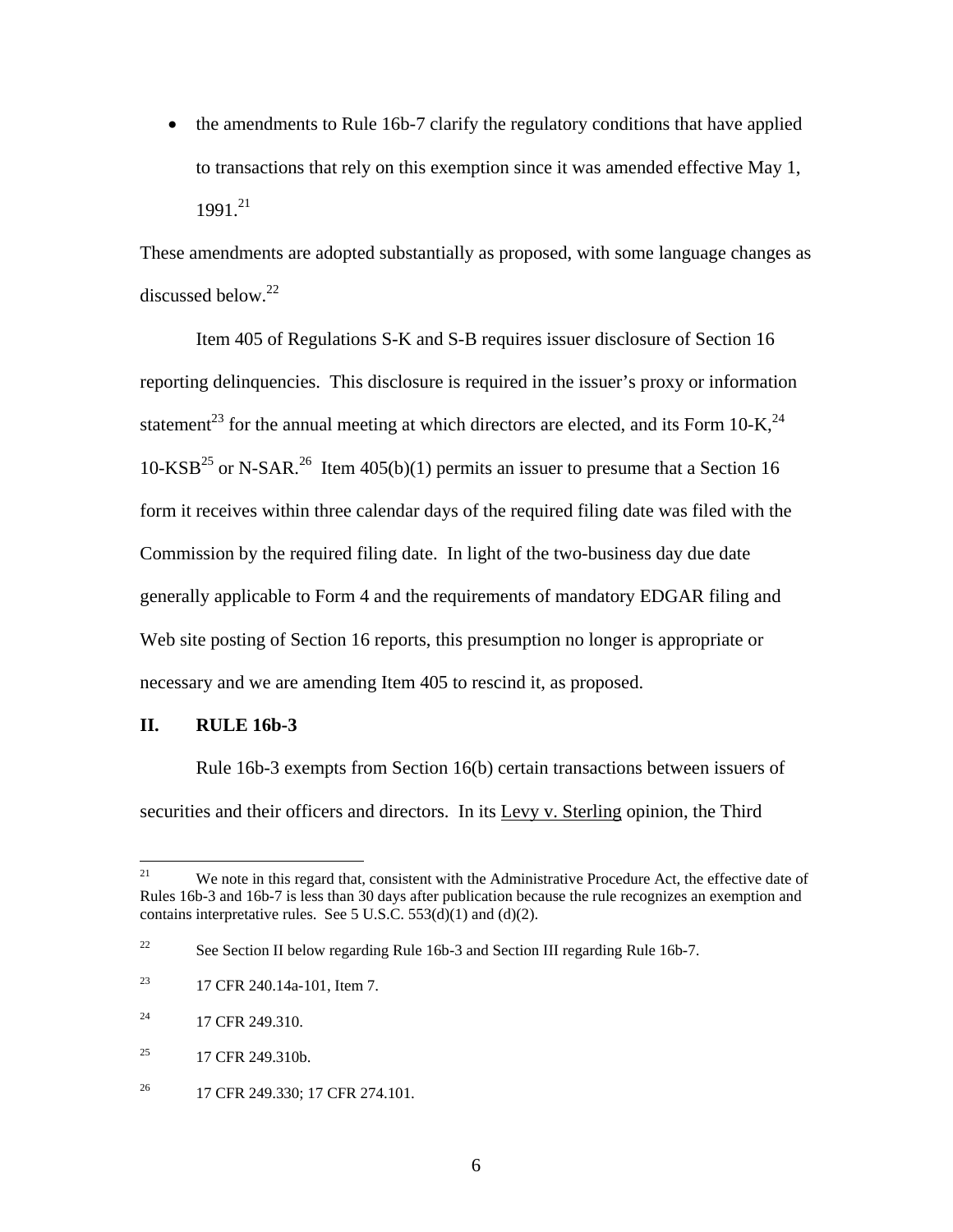• the amendments to Rule 16b-7 clarify the regulatory conditions that have applied to transactions that rely on this exemption since it was amended effective May 1,  $1991.<sup>21</sup>$ 

These amendments are adopted substantially as proposed, with some language changes as discussed below. $^{22}$ 

Item 405 of Regulations S-K and S-B requires issuer disclosure of Section 16 reporting delinquencies. This disclosure is required in the issuer's proxy or information statement<sup>23</sup> for the annual meeting at which directors are elected, and its Form  $10\text{-K}^{24}$ , 10-KSB<sup>25</sup> or N-SAR.<sup>26</sup> Item 405(b)(1) permits an issuer to presume that a Section 16 form it receives within three calendar days of the required filing date was filed with the Commission by the required filing date. In light of the two-business day due date generally applicable to Form 4 and the requirements of mandatory EDGAR filing and Web site posting of Section 16 reports, this presumption no longer is appropriate or necessary and we are amending Item 405 to rescind it, as proposed.

### **II. RULE 16b-3**

Rule 16b-3 exempts from Section 16(b) certain transactions between issuers of securities and their officers and directors. In its Levy v. Sterling opinion, the Third

<sup>21</sup> We note in this regard that, consistent with the Administrative Procedure Act, the effective date of Rules 16b-3 and 16b-7 is less than 30 days after publication because the rule recognizes an exemption and contains interpretative rules. See 5 U.S.C. 553(d)(1) and (d)(2).

<sup>&</sup>lt;sup>22</sup> See Section II below regarding Rule 16b-3 and Section III regarding Rule 16b-7.

<sup>23 17</sup> CFR 240.14a-101, Item 7.

 $^{24}$  17 CFR 249.310.

 $^{25}$  17 CFR 249.310b.

<sup>&</sup>lt;sup>26</sup> 17 CFR 249.330; 17 CFR 274.101.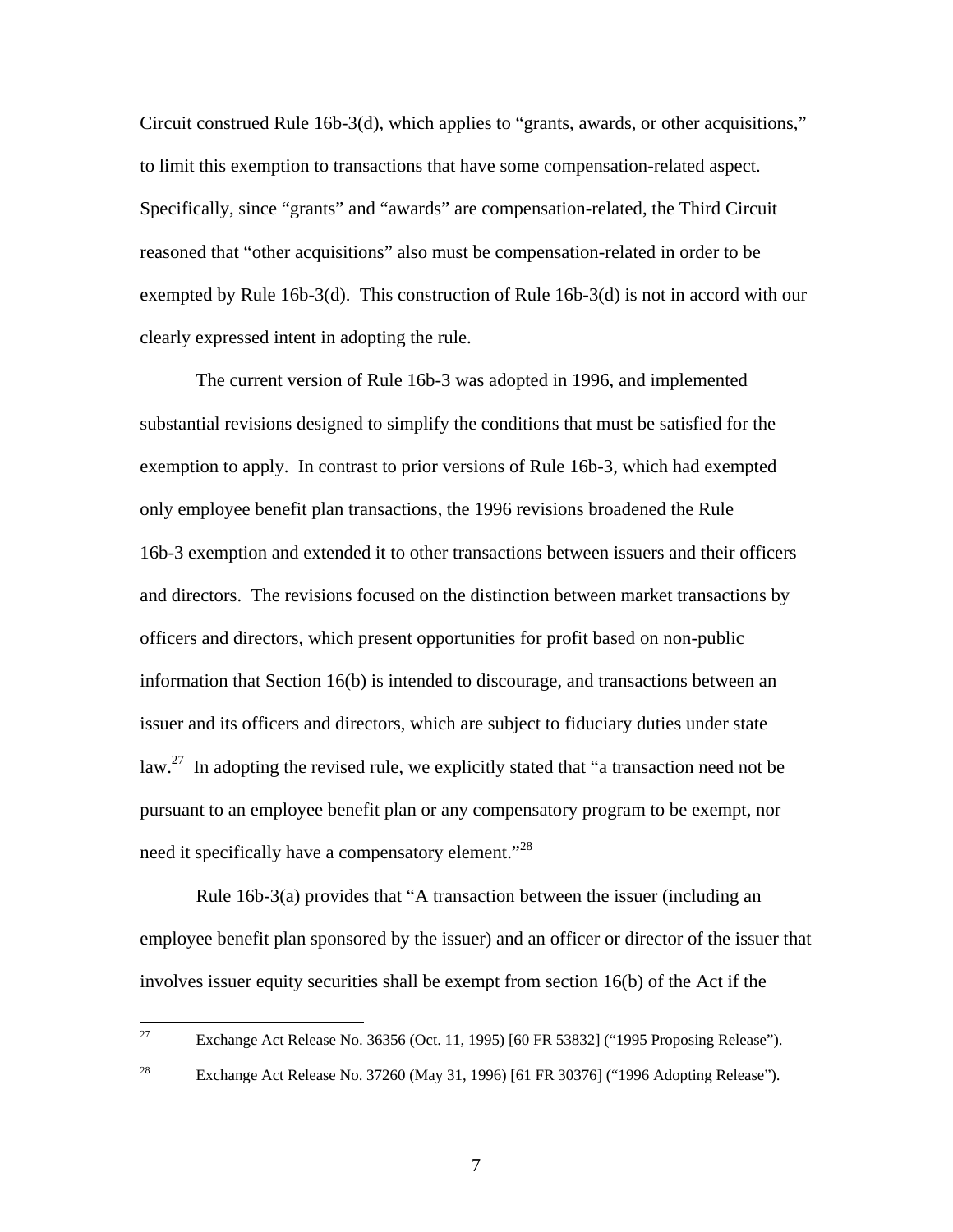Circuit construed Rule 16b-3(d), which applies to "grants, awards, or other acquisitions," to limit this exemption to transactions that have some compensation-related aspect. Specifically, since "grants" and "awards" are compensation-related, the Third Circuit reasoned that "other acquisitions" also must be compensation-related in order to be exempted by Rule 16b-3(d). This construction of Rule 16b-3(d) is not in accord with our clearly expressed intent in adopting the rule.

The current version of Rule 16b-3 was adopted in 1996, and implemented substantial revisions designed to simplify the conditions that must be satisfied for the exemption to apply. In contrast to prior versions of Rule 16b-3, which had exempted only employee benefit plan transactions, the 1996 revisions broadened the Rule 16b-3 exemption and extended it to other transactions between issuers and their officers and directors. The revisions focused on the distinction between market transactions by officers and directors, which present opportunities for profit based on non-public information that Section 16(b) is intended to discourage, and transactions between an issuer and its officers and directors, which are subject to fiduciary duties under state law.<sup>27</sup> In adopting the revised rule, we explicitly stated that "a transaction need not be pursuant to an employee benefit plan or any compensatory program to be exempt, nor need it specifically have a compensatory element."<sup>28</sup>

Rule 16b-3(a) provides that "A transaction between the issuer (including an employee benefit plan sponsored by the issuer) and an officer or director of the issuer that involves issuer equity securities shall be exempt from section 16(b) of the Act if the

<sup>27</sup> 27 Exchange Act Release No. 36356 (Oct. 11, 1995) [60 FR 53832] ("1995 Proposing Release").

<sup>&</sup>lt;sup>28</sup> Exchange Act Release No. 37260 (May 31, 1996) [61 FR 30376] ("1996 Adopting Release").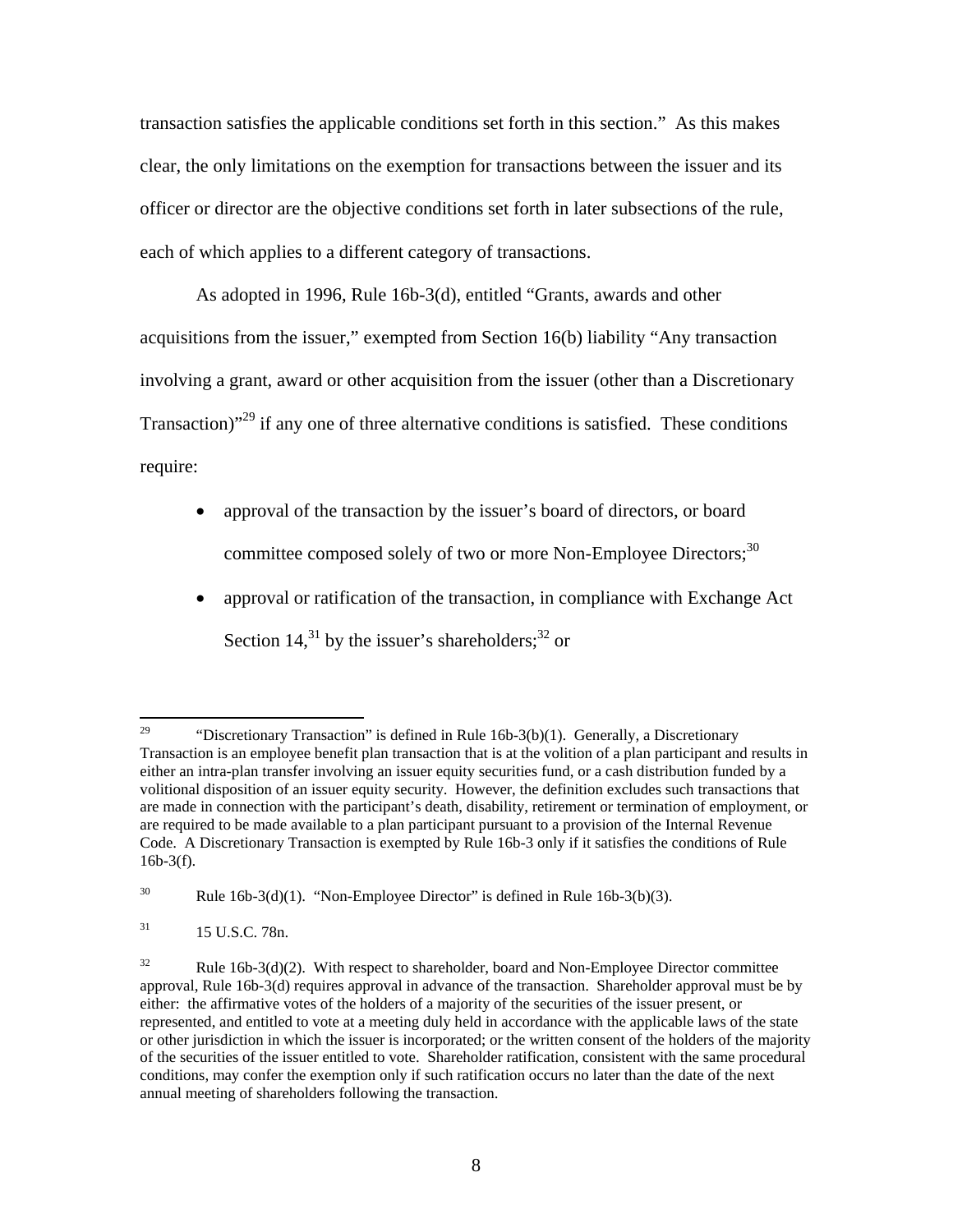transaction satisfies the applicable conditions set forth in this section." As this makes clear, the only limitations on the exemption for transactions between the issuer and its officer or director are the objective conditions set forth in later subsections of the rule, each of which applies to a different category of transactions.

As adopted in 1996, Rule 16b-3(d), entitled "Grants, awards and other acquisitions from the issuer," exempted from Section 16(b) liability "Any transaction involving a grant, award or other acquisition from the issuer (other than a Discretionary Transaction)<sup> $29$ </sup> if any one of three alternative conditions is satisfied. These conditions require:

- approval of the transaction by the issuer's board of directors, or board committee composed solely of two or more Non-Employee Directors;<sup>30</sup>
- approval or ratification of the transaction, in compliance with Exchange Act Section 14,<sup>31</sup> by the issuer's shareholders;<sup>32</sup> or

<sup>29</sup> "Discretionary Transaction" is defined in Rule  $16b-3(b)(1)$ . Generally, a Discretionary Transaction is an employee benefit plan transaction that is at the volition of a plan participant and results in either an intra-plan transfer involving an issuer equity securities fund, or a cash distribution funded by a volitional disposition of an issuer equity security. However, the definition excludes such transactions that are made in connection with the participant's death, disability, retirement or termination of employment, or are required to be made available to a plan participant pursuant to a provision of the Internal Revenue Code. A Discretionary Transaction is exempted by Rule 16b-3 only if it satisfies the conditions of Rule 16b-3(f).

<sup>30</sup> Rule  $16b-3(d)(1)$ . "Non-Employee Director" is defined in Rule  $16b-3(b)(3)$ .

 $^{31}$  15 U.S.C. 78n.

 $32$  Rule 16b-3(d)(2). With respect to shareholder, board and Non-Employee Director committee approval, Rule 16b-3(d) requires approval in advance of the transaction. Shareholder approval must be by either: the affirmative votes of the holders of a majority of the securities of the issuer present, or represented, and entitled to vote at a meeting duly held in accordance with the applicable laws of the state or other jurisdiction in which the issuer is incorporated; or the written consent of the holders of the majority of the securities of the issuer entitled to vote. Shareholder ratification, consistent with the same procedural conditions, may confer the exemption only if such ratification occurs no later than the date of the next annual meeting of shareholders following the transaction.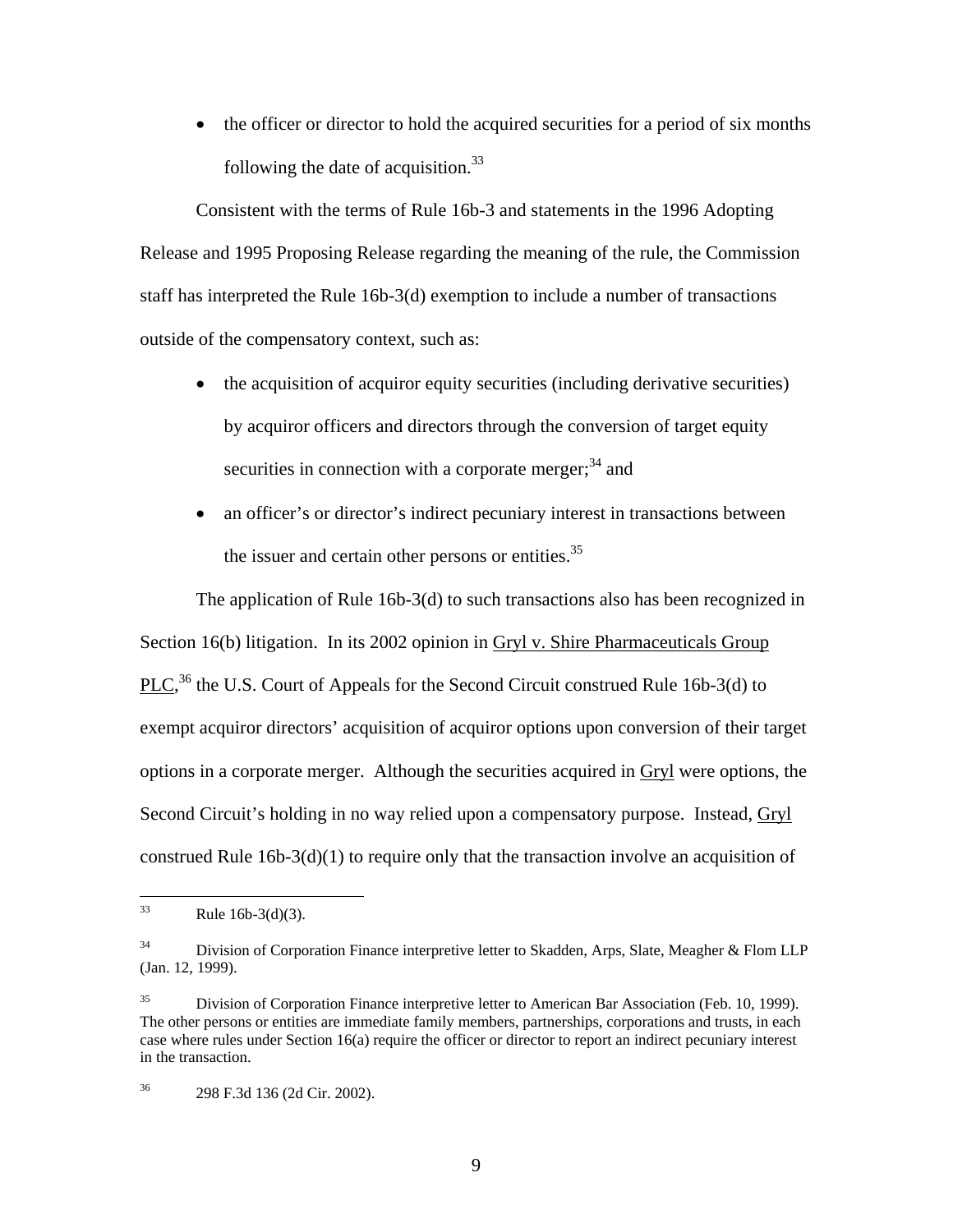• the officer or director to hold the acquired securities for a period of six months following the date of acquisition. $33$ 

Consistent with the terms of Rule 16b-3 and statements in the 1996 Adopting Release and 1995 Proposing Release regarding the meaning of the rule, the Commission staff has interpreted the Rule 16b-3(d) exemption to include a number of transactions outside of the compensatory context, such as:

- the acquisition of acquiror equity securities (including derivative securities) by acquiror officers and directors through the conversion of target equity securities in connection with a corporate merger; $34$  and
- an officer's or director's indirect pecuniary interest in transactions between the issuer and certain other persons or entities.<sup>35</sup>

The application of Rule 16b-3(d) to such transactions also has been recognized in Section 16(b) litigation. In its 2002 opinion in Gryl v. Shire Pharmaceuticals Group  $PLC<sub>1</sub><sup>36</sup>$  the U.S. Court of Appeals for the Second Circuit construed Rule 16b-3(d) to exempt acquiror directors' acquisition of acquiror options upon conversion of their target options in a corporate merger. Although the securities acquired in Gryl were options, the Second Circuit's holding in no way relied upon a compensatory purpose. Instead, Gryl construed Rule  $16b-3(d)(1)$  to require only that the transaction involve an acquisition of

 $33$ Rule  $16b-3(d)(3)$ .

<sup>&</sup>lt;sup>34</sup> Division of Corporation Finance interpretive letter to Skadden, Arps, Slate, Meagher & Flom LLP (Jan. 12, 1999).

<sup>&</sup>lt;sup>35</sup> Division of Corporation Finance interpretive letter to American Bar Association (Feb. 10, 1999). The other persons or entities are immediate family members, partnerships, corporations and trusts, in each case where rules under Section 16(a) require the officer or director to report an indirect pecuniary interest in the transaction.

<sup>36 298</sup> F.3d 136 (2d Cir. 2002).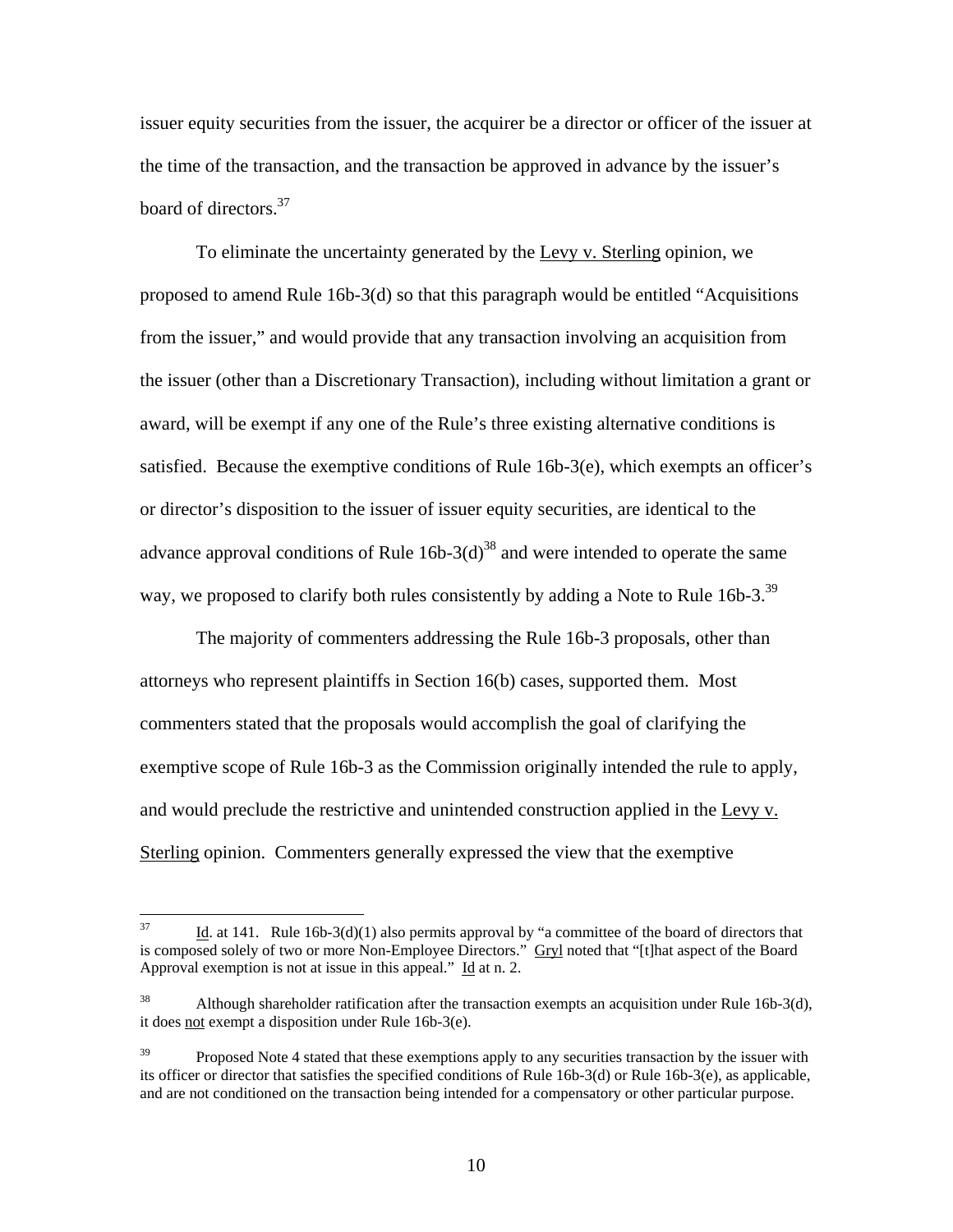issuer equity securities from the issuer, the acquirer be a director or officer of the issuer at the time of the transaction, and the transaction be approved in advance by the issuer's board of directors.<sup>37</sup>

To eliminate the uncertainty generated by the Levy v. Sterling opinion, we proposed to amend Rule 16b-3(d) so that this paragraph would be entitled "Acquisitions from the issuer," and would provide that any transaction involving an acquisition from the issuer (other than a Discretionary Transaction), including without limitation a grant or award, will be exempt if any one of the Rule's three existing alternative conditions is satisfied. Because the exemptive conditions of Rule 16b-3(e), which exempts an officer's or director's disposition to the issuer of issuer equity securities, are identical to the advance approval conditions of Rule  $16b-3(d)^{38}$  and were intended to operate the same way, we proposed to clarify both rules consistently by adding a Note to Rule 16b-3.<sup>39</sup>

 The majority of commenters addressing the Rule 16b-3 proposals, other than attorneys who represent plaintiffs in Section 16(b) cases, supported them. Most commenters stated that the proposals would accomplish the goal of clarifying the exemptive scope of Rule 16b-3 as the Commission originally intended the rule to apply, and would preclude the restrictive and unintended construction applied in the Levy v. Sterling opinion. Commenters generally expressed the view that the exemptive

<sup>37</sup> Id. at 141. Rule  $16b-3(d)(1)$  also permits approval by "a committee of the board of directors that is composed solely of two or more Non-Employee Directors." Gryl noted that "[t]hat aspect of the Board Approval exemption is not at issue in this appeal."  $\underline{Id}$  at n. 2.

<sup>38</sup> 38 Although shareholder ratification after the transaction exempts an acquisition under Rule 16b-3(d), it does not exempt a disposition under Rule 16b-3(e).

<sup>&</sup>lt;sup>39</sup> Proposed Note 4 stated that these exemptions apply to any securities transaction by the issuer with its officer or director that satisfies the specified conditions of Rule 16b-3(d) or Rule 16b-3(e), as applicable, and are not conditioned on the transaction being intended for a compensatory or other particular purpose.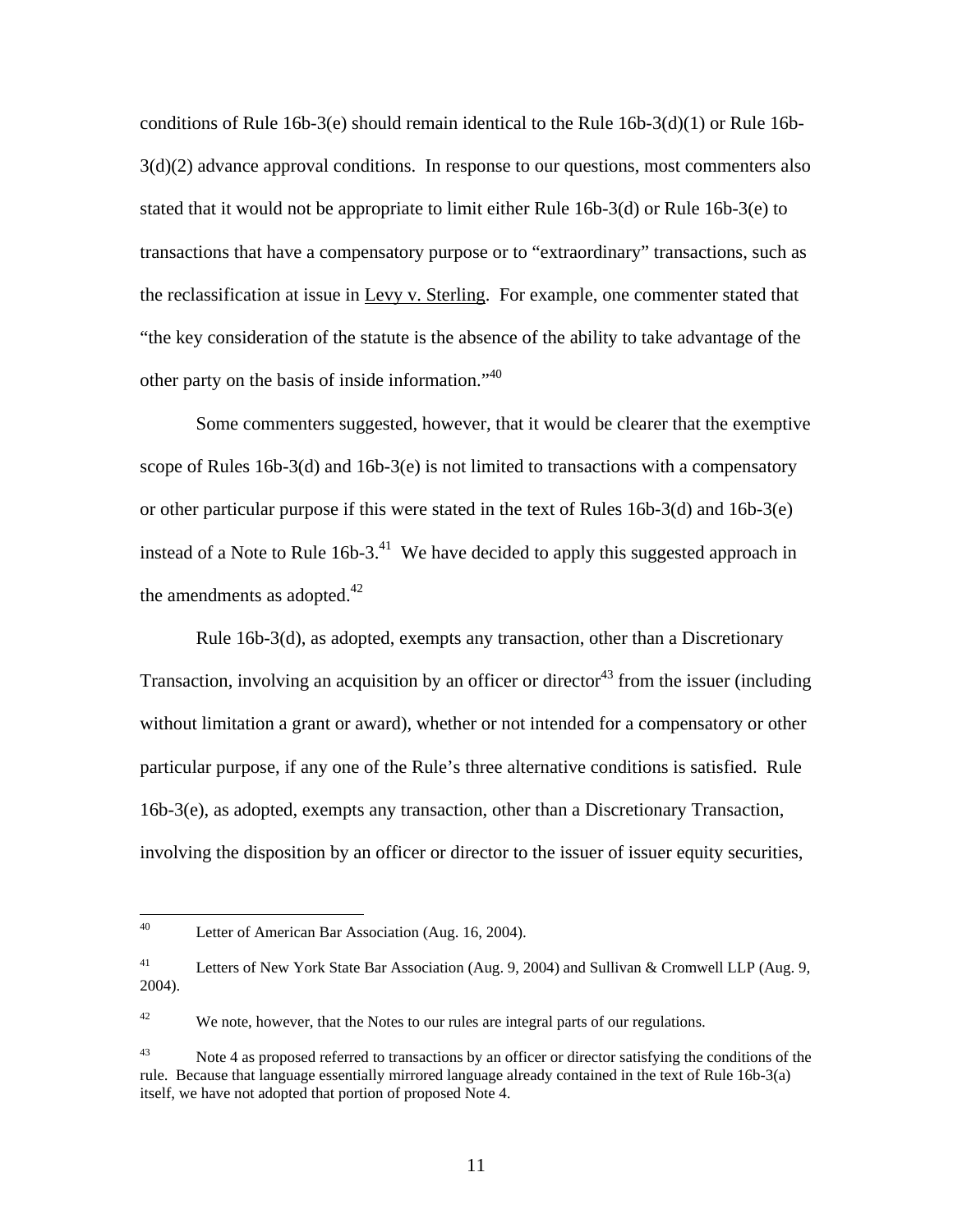conditions of Rule 16b-3(e) should remain identical to the Rule  $16b-3(d)(1)$  or Rule 16b- $3(d)(2)$  advance approval conditions. In response to our questions, most commenters also stated that it would not be appropriate to limit either Rule 16b-3(d) or Rule 16b-3(e) to transactions that have a compensatory purpose or to "extraordinary" transactions, such as the reclassification at issue in Levy v. Sterling. For example, one commenter stated that "the key consideration of the statute is the absence of the ability to take advantage of the other party on the basis of inside information."<sup>40</sup>

 Some commenters suggested, however, that it would be clearer that the exemptive scope of Rules  $16b-3(d)$  and  $16b-3(e)$  is not limited to transactions with a compensatory or other particular purpose if this were stated in the text of Rules 16b-3(d) and 16b-3(e) instead of a Note to Rule  $16b-3$ .<sup>41</sup> We have decided to apply this suggested approach in the amendments as adopted. $42$ 

 Rule 16b-3(d), as adopted, exempts any transaction, other than a Discretionary Transaction, involving an acquisition by an officer or director<sup>43</sup> from the issuer (including without limitation a grant or award), whether or not intended for a compensatory or other particular purpose, if any one of the Rule's three alternative conditions is satisfied. Rule 16b-3(e), as adopted, exempts any transaction, other than a Discretionary Transaction, involving the disposition by an officer or director to the issuer of issuer equity securities,

 $42$  We note, however, that the Notes to our rules are integral parts of our regulations.

<sup>40</sup> Letter of American Bar Association (Aug. 16, 2004).

<sup>&</sup>lt;sup>41</sup> Letters of New York State Bar Association (Aug. 9, 2004) and Sullivan & Cromwell LLP (Aug. 9, 2004).

<sup>&</sup>lt;sup>43</sup> Note 4 as proposed referred to transactions by an officer or director satisfying the conditions of the rule. Because that language essentially mirrored language already contained in the text of Rule 16b-3(a) itself, we have not adopted that portion of proposed Note 4.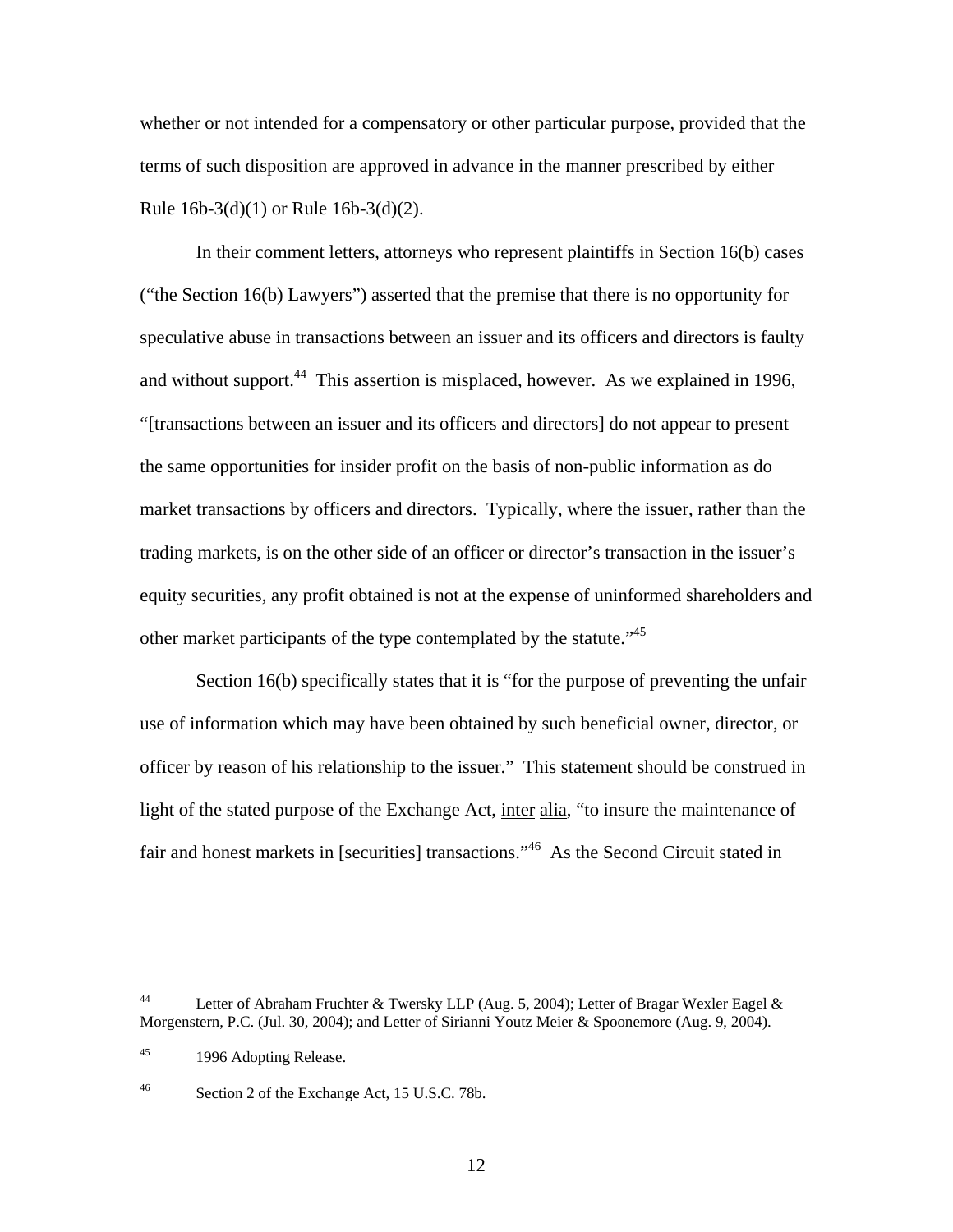whether or not intended for a compensatory or other particular purpose, provided that the terms of such disposition are approved in advance in the manner prescribed by either Rule  $16b-3(d)(1)$  or Rule  $16b-3(d)(2)$ .

 In their comment letters, attorneys who represent plaintiffs in Section 16(b) cases ("the Section 16(b) Lawyers") asserted that the premise that there is no opportunity for speculative abuse in transactions between an issuer and its officers and directors is faulty and without support.<sup>44</sup> This assertion is misplaced, however. As we explained in 1996, "[transactions between an issuer and its officers and directors] do not appear to present the same opportunities for insider profit on the basis of non-public information as do market transactions by officers and directors. Typically, where the issuer, rather than the trading markets, is on the other side of an officer or director's transaction in the issuer's equity securities, any profit obtained is not at the expense of uninformed shareholders and other market participants of the type contemplated by the statute."45

Section 16(b) specifically states that it is "for the purpose of preventing the unfair use of information which may have been obtained by such beneficial owner, director, or officer by reason of his relationship to the issuer." This statement should be construed in light of the stated purpose of the Exchange Act, inter alia, "to insure the maintenance of fair and honest markets in [securities] transactions."46 As the Second Circuit stated in

 $44<sup>°</sup>$ Letter of Abraham Fruchter & Twersky LLP (Aug. 5, 2004); Letter of Bragar Wexler Eagel & Morgenstern, P.C. (Jul. 30, 2004); and Letter of Sirianni Youtz Meier & Spoonemore (Aug. 9, 2004).

<sup>45 1996</sup> Adopting Release.

<sup>46</sup> Section 2 of the Exchange Act, 15 U.S.C. 78b.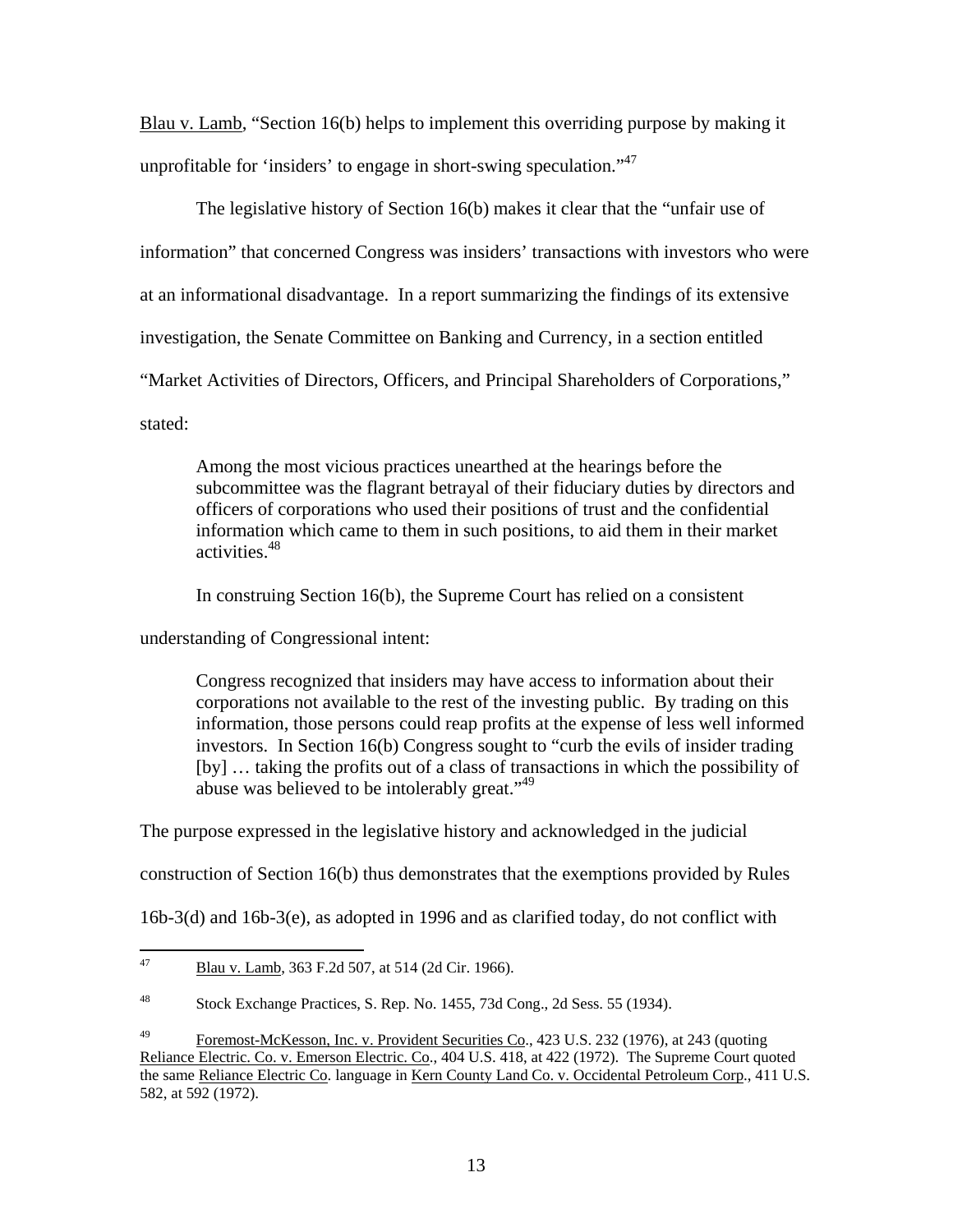Blau v. Lamb, "Section 16(b) helps to implement this overriding purpose by making it unprofitable for 'insiders' to engage in short-swing speculation."<sup>47</sup>

The legislative history of Section 16(b) makes it clear that the "unfair use of information" that concerned Congress was insiders' transactions with investors who were at an informational disadvantage. In a report summarizing the findings of its extensive investigation, the Senate Committee on Banking and Currency, in a section entitled "Market Activities of Directors, Officers, and Principal Shareholders of Corporations," stated:

Among the most vicious practices unearthed at the hearings before the subcommittee was the flagrant betrayal of their fiduciary duties by directors and officers of corporations who used their positions of trust and the confidential information which came to them in such positions, to aid them in their market activities.48

In construing Section 16(b), the Supreme Court has relied on a consistent

understanding of Congressional intent:

Congress recognized that insiders may have access to information about their corporations not available to the rest of the investing public. By trading on this information, those persons could reap profits at the expense of less well informed investors. In Section 16(b) Congress sought to "curb the evils of insider trading [by] … taking the profits out of a class of transactions in which the possibility of abuse was believed to be intolerably great."<sup>49</sup>

The purpose expressed in the legislative history and acknowledged in the judicial

construction of Section 16(b) thus demonstrates that the exemptions provided by Rules

16b-3(d) and 16b-3(e), as adopted in 1996 and as clarified today, do not conflict with

<sup>47</sup> Blau v. Lamb, 363 F.2d 507, at 514 (2d Cir. 1966).

<sup>48</sup> Stock Exchange Practices, S. Rep. No. 1455, 73d Cong., 2d Sess. 55 (1934).

<sup>&</sup>lt;sup>49</sup> Foremost-McKesson, Inc. v. Provident Securities Co., 423 U.S. 232 (1976), at 243 (quoting Reliance Electric. Co. v. Emerson Electric. Co., 404 U.S. 418, at 422 (1972). The Supreme Court quoted the same Reliance Electric Co. language in Kern County Land Co. v. Occidental Petroleum Corp., 411 U.S. 582, at 592 (1972).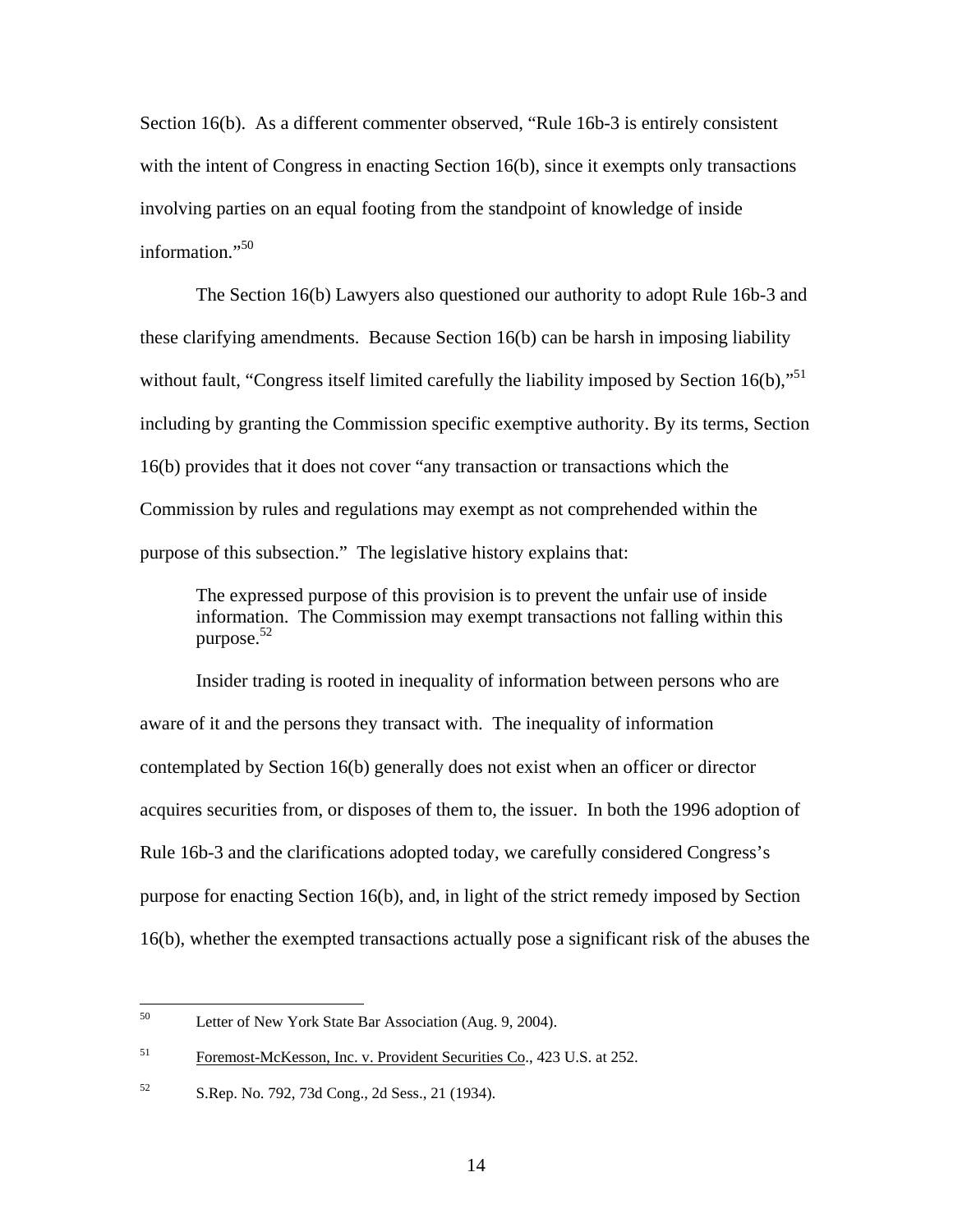Section 16(b). As a different commenter observed, "Rule 16b-3 is entirely consistent with the intent of Congress in enacting Section 16(b), since it exempts only transactions involving parties on an equal footing from the standpoint of knowledge of inside information."<sup>50</sup>

The Section 16(b) Lawyers also questioned our authority to adopt Rule 16b-3 and these clarifying amendments. Because Section 16(b) can be harsh in imposing liability without fault, "Congress itself limited carefully the liability imposed by Section  $16(b)$ ,"<sup>51</sup> including by granting the Commission specific exemptive authority. By its terms, Section 16(b) provides that it does not cover "any transaction or transactions which the Commission by rules and regulations may exempt as not comprehended within the purpose of this subsection." The legislative history explains that:

The expressed purpose of this provision is to prevent the unfair use of inside information. The Commission may exempt transactions not falling within this purpose.52

Insider trading is rooted in inequality of information between persons who are aware of it and the persons they transact with. The inequality of information contemplated by Section 16(b) generally does not exist when an officer or director acquires securities from, or disposes of them to, the issuer. In both the 1996 adoption of Rule 16b-3 and the clarifications adopted today, we carefully considered Congress's purpose for enacting Section 16(b), and, in light of the strict remedy imposed by Section 16(b), whether the exempted transactions actually pose a significant risk of the abuses the

<sup>50</sup> Letter of New York State Bar Association (Aug. 9, 2004).

<sup>&</sup>lt;sup>51</sup> Foremost-McKesson, Inc. v. Provident Securities Co., 423 U.S. at 252.

<sup>52</sup> S.Rep. No. 792, 73d Cong., 2d Sess., 21 (1934).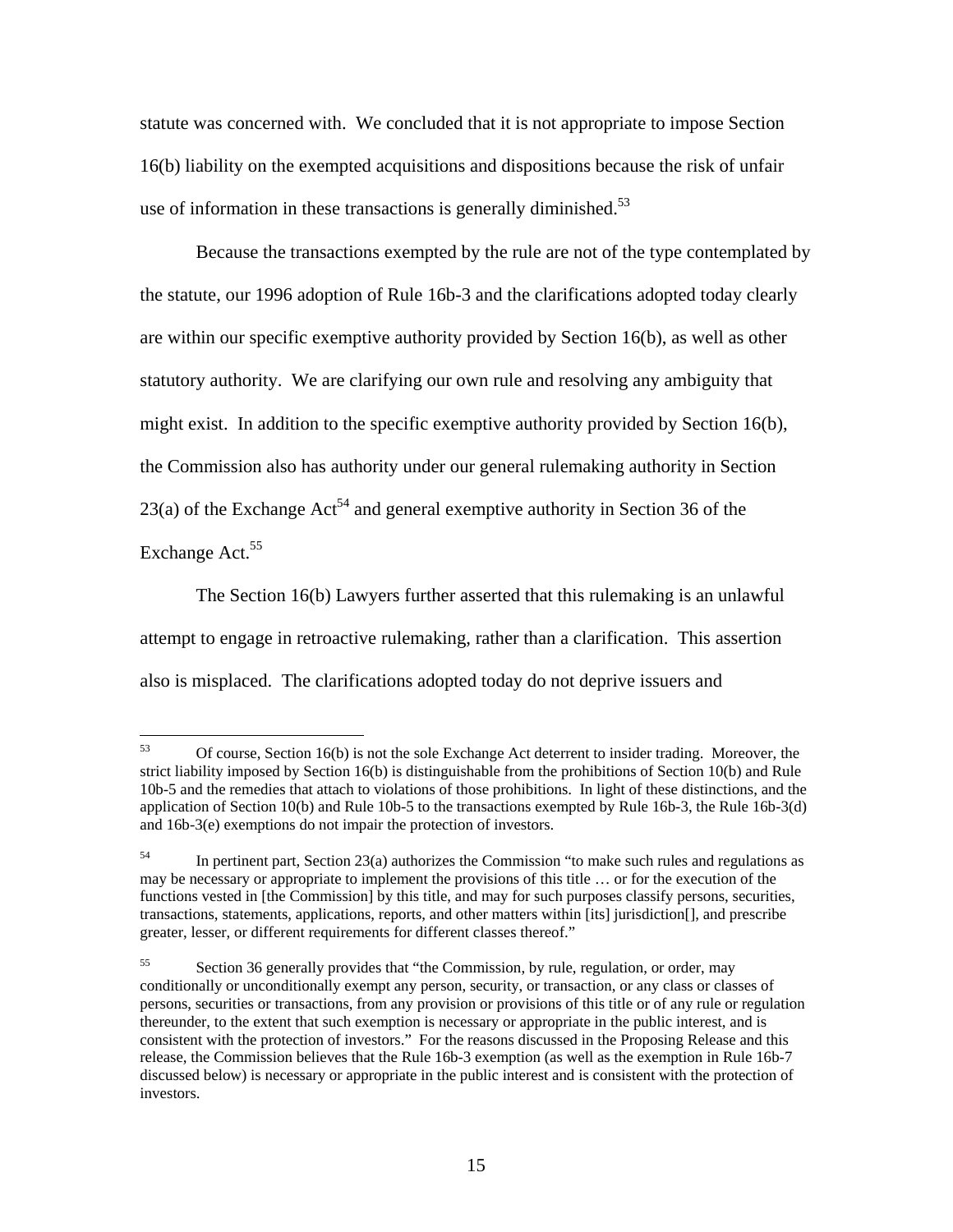statute was concerned with. We concluded that it is not appropriate to impose Section 16(b) liability on the exempted acquisitions and dispositions because the risk of unfair use of information in these transactions is generally diminished.<sup>53</sup>

Because the transactions exempted by the rule are not of the type contemplated by the statute, our 1996 adoption of Rule 16b-3 and the clarifications adopted today clearly are within our specific exemptive authority provided by Section 16(b), as well as other statutory authority. We are clarifying our own rule and resolving any ambiguity that might exist. In addition to the specific exemptive authority provided by Section 16(b), the Commission also has authority under our general rulemaking authority in Section 23(a) of the Exchange  $Act^{54}$  and general exemptive authority in Section 36 of the Exchange Act.<sup>55</sup>

The Section 16(b) Lawyers further asserted that this rulemaking is an unlawful attempt to engage in retroactive rulemaking, rather than a clarification. This assertion also is misplaced. The clarifications adopted today do not deprive issuers and

<sup>53</sup> 53 Of course, Section 16(b) is not the sole Exchange Act deterrent to insider trading. Moreover, the strict liability imposed by Section 16(b) is distinguishable from the prohibitions of Section 10(b) and Rule 10b-5 and the remedies that attach to violations of those prohibitions. In light of these distinctions, and the application of Section 10(b) and Rule 10b-5 to the transactions exempted by Rule 16b-3, the Rule 16b-3(d) and 16b-3(e) exemptions do not impair the protection of investors.

<sup>&</sup>lt;sup>54</sup> In pertinent part, Section 23(a) authorizes the Commission "to make such rules and regulations as may be necessary or appropriate to implement the provisions of this title … or for the execution of the functions vested in [the Commission] by this title, and may for such purposes classify persons, securities, transactions, statements, applications, reports, and other matters within [its] jurisdiction[], and prescribe greater, lesser, or different requirements for different classes thereof."

<sup>55</sup> Section 36 generally provides that "the Commission, by rule, regulation, or order, may conditionally or unconditionally exempt any person, security, or transaction, or any class or classes of persons, securities or transactions, from any provision or provisions of this title or of any rule or regulation thereunder, to the extent that such exemption is necessary or appropriate in the public interest, and is consistent with the protection of investors." For the reasons discussed in the Proposing Release and this release, the Commission believes that the Rule 16b-3 exemption (as well as the exemption in Rule 16b-7 discussed below) is necessary or appropriate in the public interest and is consistent with the protection of investors.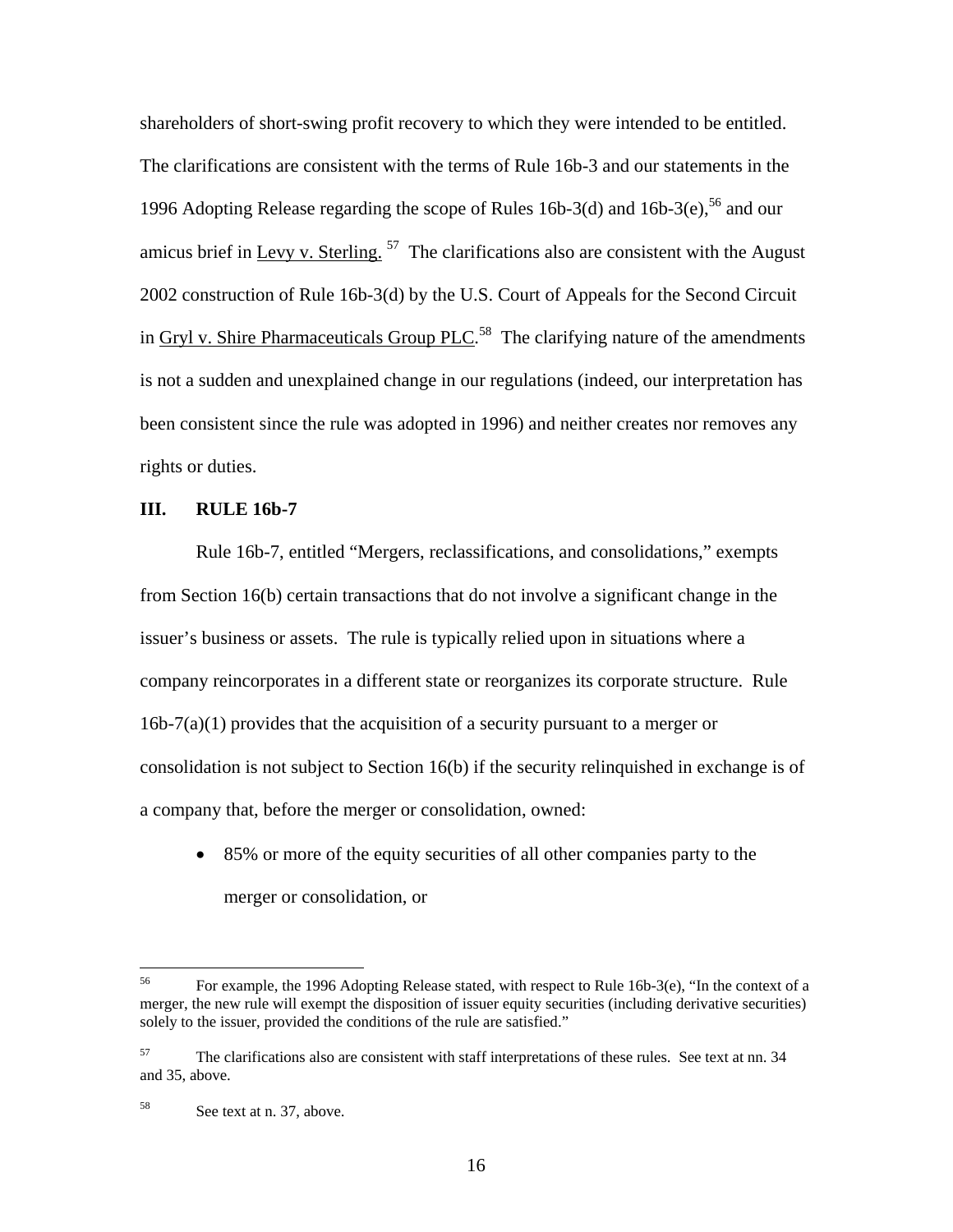shareholders of short-swing profit recovery to which they were intended to be entitled. The clarifications are consistent with the terms of Rule 16b-3 and our statements in the 1996 Adopting Release regarding the scope of Rules 16b-3(d) and 16b-3(e),  $^{56}$  and our amicus brief in Levy v. Sterling.  $57$  The clarifications also are consistent with the August 2002 construction of Rule 16b-3(d) by the U.S. Court of Appeals for the Second Circuit in  $Gryl$  v. Shire Pharmaceuticals  $Group$  PLC.<sup>58</sup> The clarifying nature of the amendments is not a sudden and unexplained change in our regulations (indeed, our interpretation has been consistent since the rule was adopted in 1996) and neither creates nor removes any rights or duties.

### **III. RULE 16b-7**

Rule 16b-7, entitled "Mergers, reclassifications, and consolidations," exempts from Section 16(b) certain transactions that do not involve a significant change in the issuer's business or assets. The rule is typically relied upon in situations where a company reincorporates in a different state or reorganizes its corporate structure. Rule  $16b-7(a)(1)$  provides that the acquisition of a security pursuant to a merger or consolidation is not subject to Section 16(b) if the security relinquished in exchange is of a company that, before the merger or consolidation, owned:

• 85% or more of the equity securities of all other companies party to the merger or consolidation, or

<sup>56</sup> 56 For example, the 1996 Adopting Release stated, with respect to Rule 16b-3(e), "In the context of a merger, the new rule will exempt the disposition of issuer equity securities (including derivative securities) solely to the issuer, provided the conditions of the rule are satisfied."

<sup>57</sup> The clarifications also are consistent with staff interpretations of these rules.See text at nn. 34 and 35, above.

<sup>58</sup> See text at n. 37, above.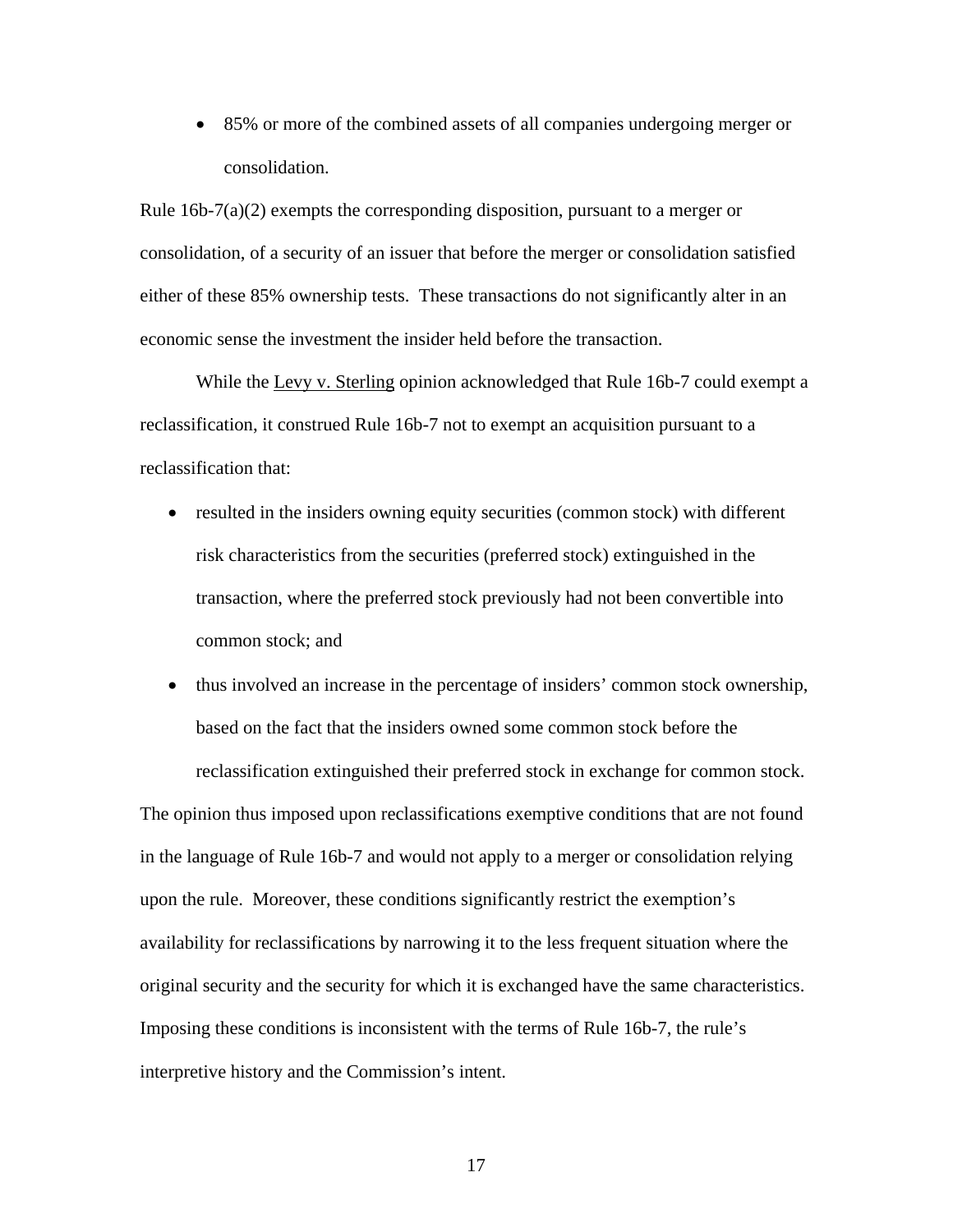• 85% or more of the combined assets of all companies undergoing merger or consolidation.

Rule  $16b-7(a)(2)$  exempts the corresponding disposition, pursuant to a merger or consolidation, of a security of an issuer that before the merger or consolidation satisfied either of these 85% ownership tests. These transactions do not significantly alter in an economic sense the investment the insider held before the transaction.

While the Levy v. Sterling opinion acknowledged that Rule 16b-7 could exempt a reclassification, it construed Rule 16b-7 not to exempt an acquisition pursuant to a reclassification that:

- resulted in the insiders owning equity securities (common stock) with different risk characteristics from the securities (preferred stock) extinguished in the transaction, where the preferred stock previously had not been convertible into common stock; and
- thus involved an increase in the percentage of insiders' common stock ownership, based on the fact that the insiders owned some common stock before the reclassification extinguished their preferred stock in exchange for common stock.

The opinion thus imposed upon reclassifications exemptive conditions that are not found in the language of Rule 16b-7 and would not apply to a merger or consolidation relying upon the rule. Moreover, these conditions significantly restrict the exemption's availability for reclassifications by narrowing it to the less frequent situation where the original security and the security for which it is exchanged have the same characteristics. Imposing these conditions is inconsistent with the terms of Rule 16b-7, the rule's interpretive history and the Commission's intent.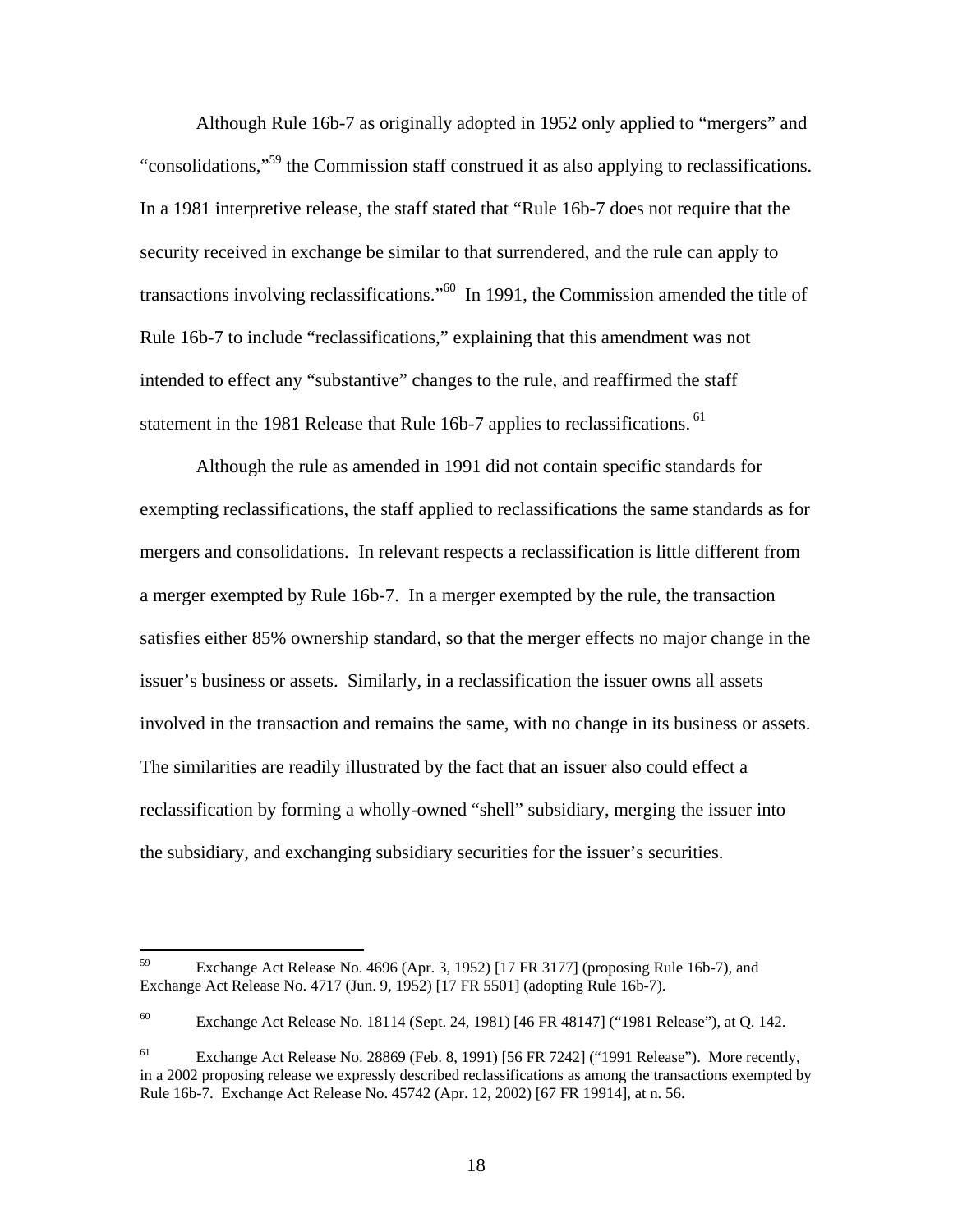Although Rule 16b-7 as originally adopted in 1952 only applied to "mergers" and "consolidations,"59 the Commission staff construed it as also applying to reclassifications. In a 1981 interpretive release, the staff stated that "Rule 16b-7 does not require that the security received in exchange be similar to that surrendered, and the rule can apply to transactions involving reclassifications."60 In 1991, the Commission amended the title of Rule 16b-7 to include "reclassifications," explaining that this amendment was not intended to effect any "substantive" changes to the rule, and reaffirmed the staff statement in the 1981 Release that Rule 16b-7 applies to reclassifications. <sup>61</sup>

 Although the rule as amended in 1991 did not contain specific standards for exempting reclassifications, the staff applied to reclassifications the same standards as for mergers and consolidations. In relevant respects a reclassification is little different from a merger exempted by Rule 16b-7. In a merger exempted by the rule, the transaction satisfies either 85% ownership standard, so that the merger effects no major change in the issuer's business or assets. Similarly, in a reclassification the issuer owns all assets involved in the transaction and remains the same, with no change in its business or assets. The similarities are readily illustrated by the fact that an issuer also could effect a reclassification by forming a wholly-owned "shell" subsidiary, merging the issuer into the subsidiary, and exchanging subsidiary securities for the issuer's securities.

<sup>59</sup> 59 Exchange Act Release No. 4696 (Apr. 3, 1952) [17 FR 3177] (proposing Rule 16b-7), and Exchange Act Release No. 4717 (Jun. 9, 1952) [17 FR 5501] (adopting Rule 16b-7).

<sup>60</sup> Exchange Act Release No. 18114 (Sept. 24, 1981) [46 FR 48147] ("1981 Release"), at Q. 142.

 $61$  Exchange Act Release No. 28869 (Feb. 8, 1991) [56 FR 7242] ("1991 Release"). More recently, in a 2002 proposing release we expressly described reclassifications as among the transactions exempted by Rule 16b-7. Exchange Act Release No. 45742 (Apr. 12, 2002) [67 FR 19914], at n. 56.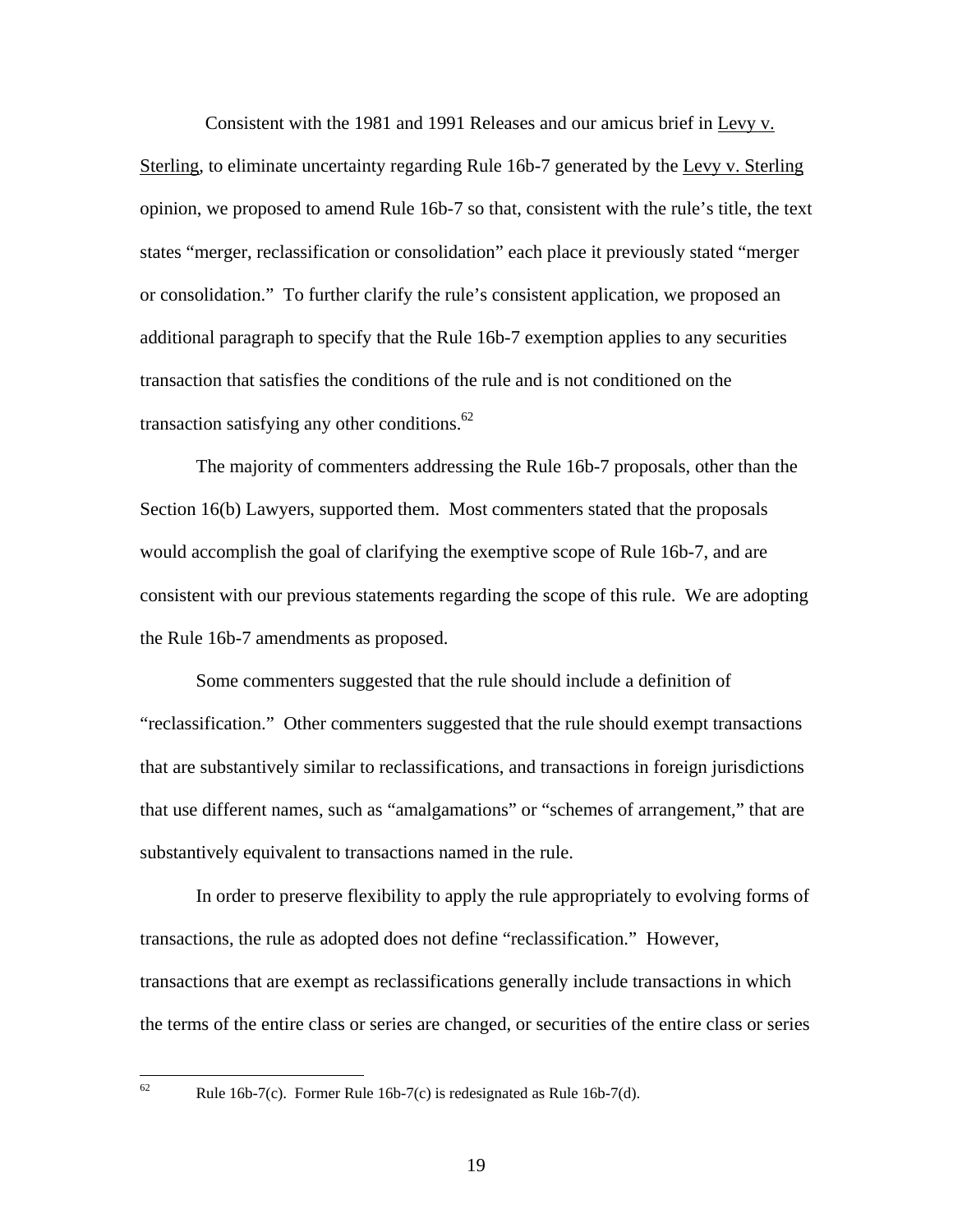Consistent with the 1981 and 1991 Releases and our amicus brief in Levy v. Sterling, to eliminate uncertainty regarding Rule 16b-7 generated by the Levy v. Sterling opinion, we proposed to amend Rule 16b-7 so that, consistent with the rule's title, the text states "merger, reclassification or consolidation" each place it previously stated "merger or consolidation." To further clarify the rule's consistent application, we proposed an additional paragraph to specify that the Rule 16b-7 exemption applies to any securities transaction that satisfies the conditions of the rule and is not conditioned on the transaction satisfying any other conditions.<sup>62</sup>

The majority of commenters addressing the Rule 16b-7 proposals, other than the Section 16(b) Lawyers, supported them. Most commenters stated that the proposals would accomplish the goal of clarifying the exemptive scope of Rule 16b-7, and are consistent with our previous statements regarding the scope of this rule. We are adopting the Rule 16b-7 amendments as proposed.

Some commenters suggested that the rule should include a definition of "reclassification." Other commenters suggested that the rule should exempt transactions that are substantively similar to reclassifications, and transactions in foreign jurisdictions that use different names, such as "amalgamations" or "schemes of arrangement," that are substantively equivalent to transactions named in the rule.

In order to preserve flexibility to apply the rule appropriately to evolving forms of transactions, the rule as adopted does not define "reclassification." However, transactions that are exempt as reclassifications generally include transactions in which the terms of the entire class or series are changed, or securities of the entire class or series

Rule 16b-7(c). Former Rule 16b-7(c) is redesignated as Rule 16b-7(d).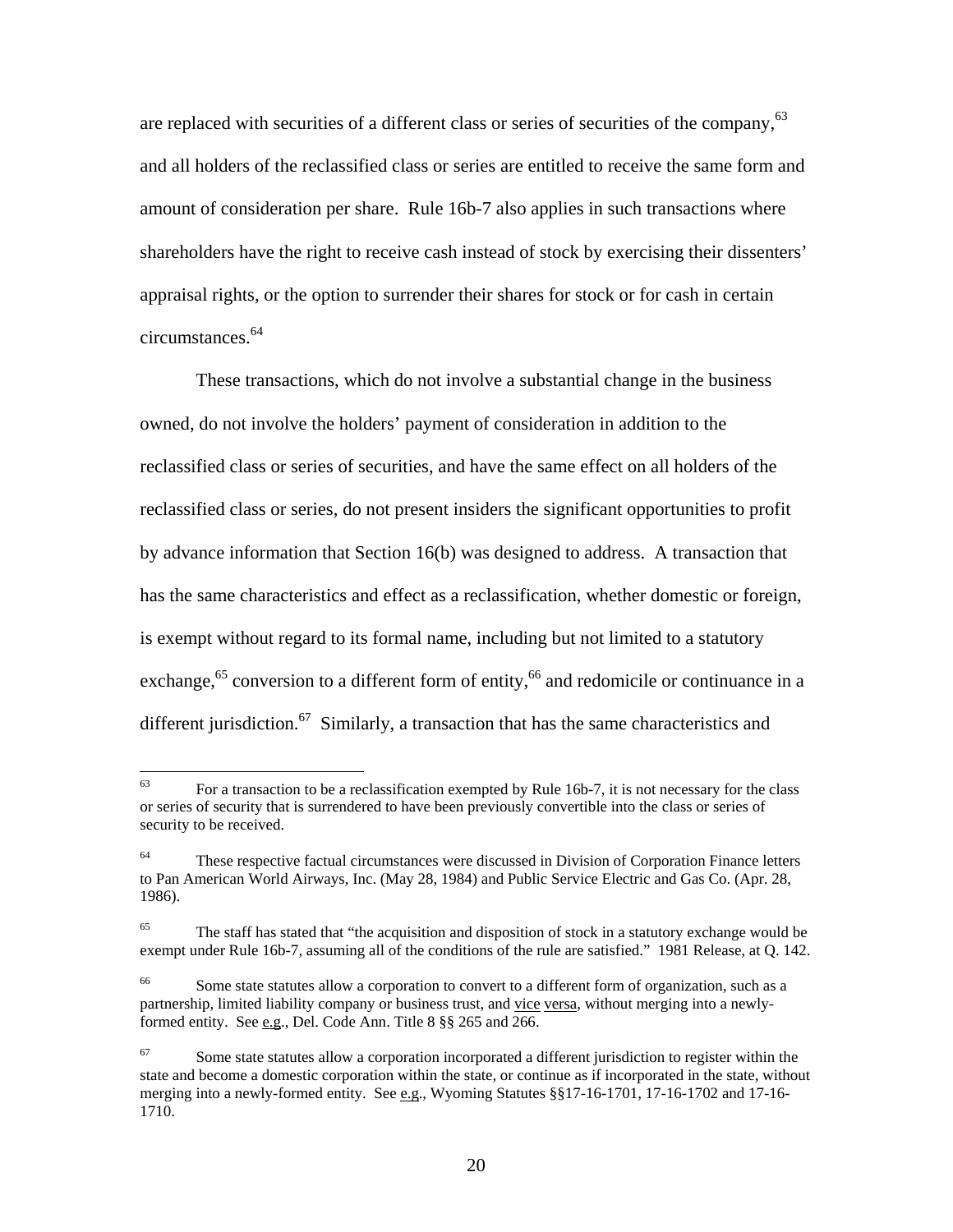are replaced with securities of a different class or series of securities of the company,  $63$ and all holders of the reclassified class or series are entitled to receive the same form and amount of consideration per share. Rule 16b-7 also applies in such transactions where shareholders have the right to receive cash instead of stock by exercising their dissenters' appraisal rights, or the option to surrender their shares for stock or for cash in certain circumstances.64

These transactions, which do not involve a substantial change in the business owned, do not involve the holders' payment of consideration in addition to the reclassified class or series of securities, and have the same effect on all holders of the reclassified class or series, do not present insiders the significant opportunities to profit by advance information that Section 16(b) was designed to address. A transaction that has the same characteristics and effect as a reclassification, whether domestic or foreign, is exempt without regard to its formal name, including but not limited to a statutory exchange,  $65$  conversion to a different form of entity,  $66$  and redomicile or continuance in a different jurisdiction.<sup>67</sup> Similarly, a transaction that has the same characteristics and

<sup>63</sup> 63 For a transaction to be a reclassification exempted by Rule 16b-7, it is not necessary for the class or series of security that is surrendered to have been previously convertible into the class or series of security to be received.

<sup>&</sup>lt;sup>64</sup> These respective factual circumstances were discussed in Division of Corporation Finance letters to Pan American World Airways, Inc. (May 28, 1984) and Public Service Electric and Gas Co. (Apr. 28, 1986).

<sup>65</sup> The staff has stated that "the acquisition and disposition of stock in a statutory exchange would be exempt under Rule 16b-7, assuming all of the conditions of the rule are satisfied." 1981 Release, at Q. 142.

Some state statutes allow a corporation to convert to a different form of organization, such as a partnership, limited liability company or business trust, and vice versa, without merging into a newlyformed entity. See e.g., Del. Code Ann. Title 8 §§ 265 and 266.

 $67$  Some state statutes allow a corporation incorporated a different jurisdiction to register within the state and become a domestic corporation within the state, or continue as if incorporated in the state, without merging into a newly-formed entity. See e.g., Wyoming Statutes §§17-16-1701, 17-16-1702 and 17-16-1710.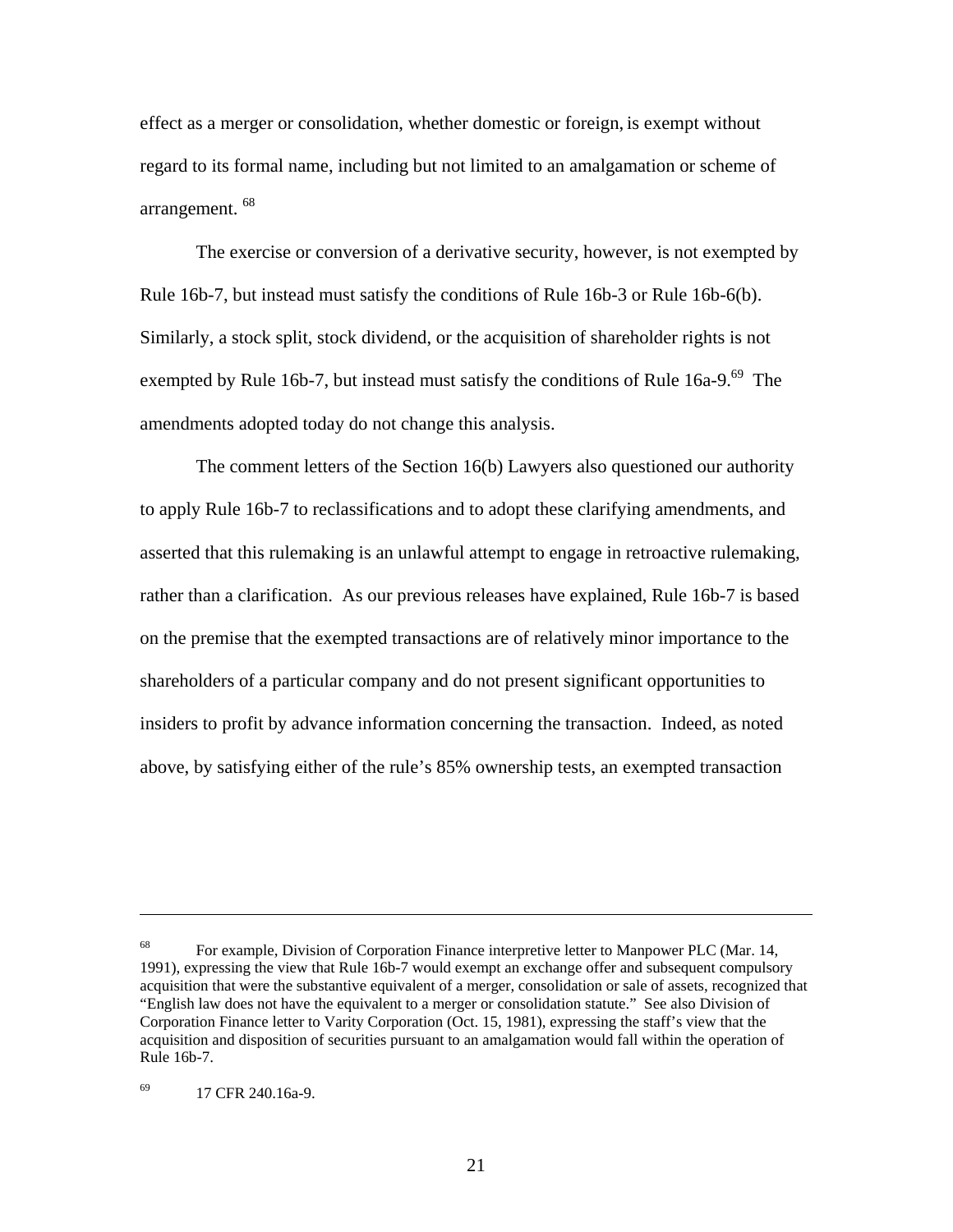effect as a merger or consolidation, whether domestic or foreign, is exempt without regard to its formal name, including but not limited to an amalgamation or scheme of arrangement. 68

The exercise or conversion of a derivative security, however, is not exempted by Rule 16b-7, but instead must satisfy the conditions of Rule 16b-3 or Rule 16b-6(b). Similarly, a stock split, stock dividend, or the acquisition of shareholder rights is not exempted by Rule 16b-7, but instead must satisfy the conditions of Rule  $16a-9.^{69}$  The amendments adopted today do not change this analysis.

The comment letters of the Section 16(b) Lawyers also questioned our authority to apply Rule 16b-7 to reclassifications and to adopt these clarifying amendments, and asserted that this rulemaking is an unlawful attempt to engage in retroactive rulemaking, rather than a clarification. As our previous releases have explained, Rule 16b-7 is based on the premise that the exempted transactions are of relatively minor importance to the shareholders of a particular company and do not present significant opportunities to insiders to profit by advance information concerning the transaction. Indeed, as noted above, by satisfying either of the rule's 85% ownership tests, an exempted transaction

<sup>&</sup>lt;sup>68</sup> For example, Division of Corporation Finance interpretive letter to Manpower PLC (Mar. 14, 1991), expressing the view that Rule 16b-7 would exempt an exchange offer and subsequent compulsory acquisition that were the substantive equivalent of a merger, consolidation or sale of assets, recognized that "English law does not have the equivalent to a merger or consolidation statute." See also Division of Corporation Finance letter to Varity Corporation (Oct. 15, 1981), expressing the staff's view that the acquisition and disposition of securities pursuant to an amalgamation would fall within the operation of Rule 16b-7.

<sup>69 17</sup> CFR 240.16a-9.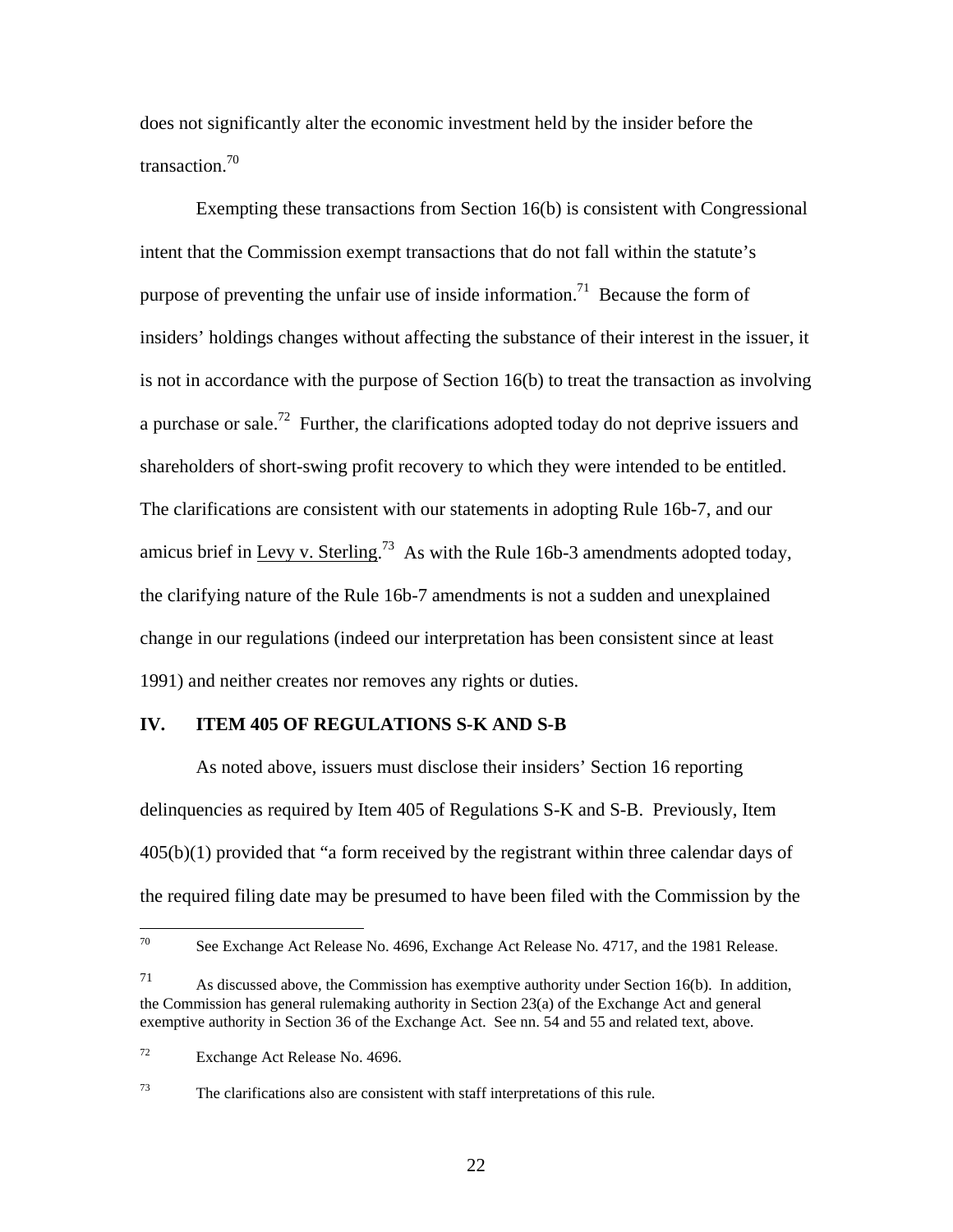does not significantly alter the economic investment held by the insider before the transaction.70

Exempting these transactions from Section 16(b) is consistent with Congressional intent that the Commission exempt transactions that do not fall within the statute's purpose of preventing the unfair use of inside information.<sup>71</sup> Because the form of insiders' holdings changes without affecting the substance of their interest in the issuer, it is not in accordance with the purpose of Section 16(b) to treat the transaction as involving a purchase or sale.<sup>72</sup> Further, the clarifications adopted today do not deprive issuers and shareholders of short-swing profit recovery to which they were intended to be entitled. The clarifications are consistent with our statements in adopting Rule 16b-7, and our amicus brief in Levy v. Sterling.<sup>73</sup> As with the Rule 16b-3 amendments adopted today, the clarifying nature of the Rule 16b-7 amendments is not a sudden and unexplained change in our regulations (indeed our interpretation has been consistent since at least 1991) and neither creates nor removes any rights or duties.

### **IV. ITEM 405 OF REGULATIONS S-K AND S-B**

 As noted above, issuers must disclose their insiders' Section 16 reporting delinquencies as required by Item 405 of Regulations S-K and S-B. Previously, Item 405(b)(1) provided that "a form received by the registrant within three calendar days of the required filing date may be presumed to have been filed with the Commission by the

 $70^{\circ}$ See Exchange Act Release No. 4696, Exchange Act Release No. 4717, and the 1981 Release.

 $71$  As discussed above, the Commission has exemptive authority under Section 16(b). In addition, the Commission has general rulemaking authority in Section 23(a) of the Exchange Act and general exemptive authority in Section 36 of the Exchange Act. See nn. 54 and 55 and related text, above.

<sup>72</sup> Exchange Act Release No. 4696.

 $73$  The clarifications also are consistent with staff interpretations of this rule.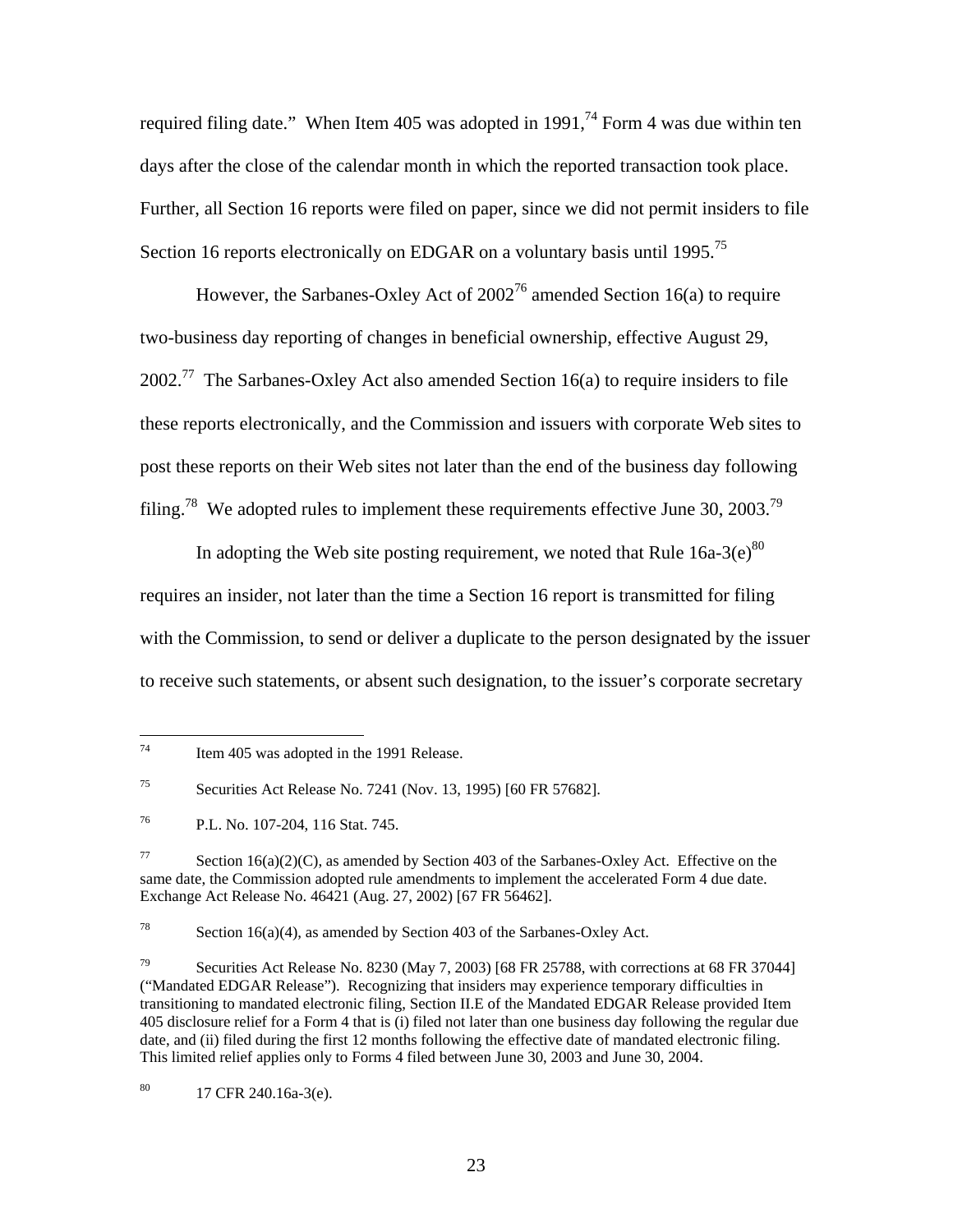required filing date." When Item 405 was adopted in 1991, $^{74}$  Form 4 was due within ten days after the close of the calendar month in which the reported transaction took place. Further, all Section 16 reports were filed on paper, since we did not permit insiders to file Section 16 reports electronically on EDGAR on a voluntary basis until 1995.<sup>75</sup>

However, the Sarbanes-Oxley Act of  $2002^{76}$  amended Section 16(a) to require two-business day reporting of changes in beneficial ownership, effective August 29,  $2002<sup>77</sup>$  The Sarbanes-Oxley Act also amended Section 16(a) to require insiders to file these reports electronically, and the Commission and issuers with corporate Web sites to post these reports on their Web sites not later than the end of the business day following filing.<sup>78</sup> We adopted rules to implement these requirements effective June 30, 2003.<sup>79</sup>

In adopting the Web site posting requirement, we noted that Rule  $16a-3(e)^{80}$ requires an insider, not later than the time a Section 16 report is transmitted for filing with the Commission, to send or deliver a duplicate to the person designated by the issuer to receive such statements, or absent such designation, to the issuer's corporate secretary

<sup>78</sup> Section 16(a)(4), as amended by Section 403 of the Sarbanes-Oxley Act.

 $^{80}$  17 CFR 240.16a-3(e).

<sup>74</sup> Item 405 was adopted in the 1991 Release.

<sup>75</sup> Securities Act Release No. 7241 (Nov. 13, 1995) [60 FR 57682].

<sup>76</sup> P.L. No. 107-204, 116 Stat. 745.

 $77$  Section 16(a)(2)(C), as amended by Section 403 of the Sarbanes-Oxley Act. Effective on the same date, the Commission adopted rule amendments to implement the accelerated Form 4 due date. Exchange Act Release No. 46421 (Aug. 27, 2002) [67 FR 56462].

<sup>&</sup>lt;sup>79</sup> Securities Act Release No. 8230 (May 7, 2003) [68 FR 25788, with corrections at 68 FR 37044] ("Mandated EDGAR Release"). Recognizing that insiders may experience temporary difficulties in transitioning to mandated electronic filing, Section II.E of the Mandated EDGAR Release provided Item 405 disclosure relief for a Form 4 that is (i) filed not later than one business day following the regular due date, and (ii) filed during the first 12 months following the effective date of mandated electronic filing. This limited relief applies only to Forms 4 filed between June 30, 2003 and June 30, 2004.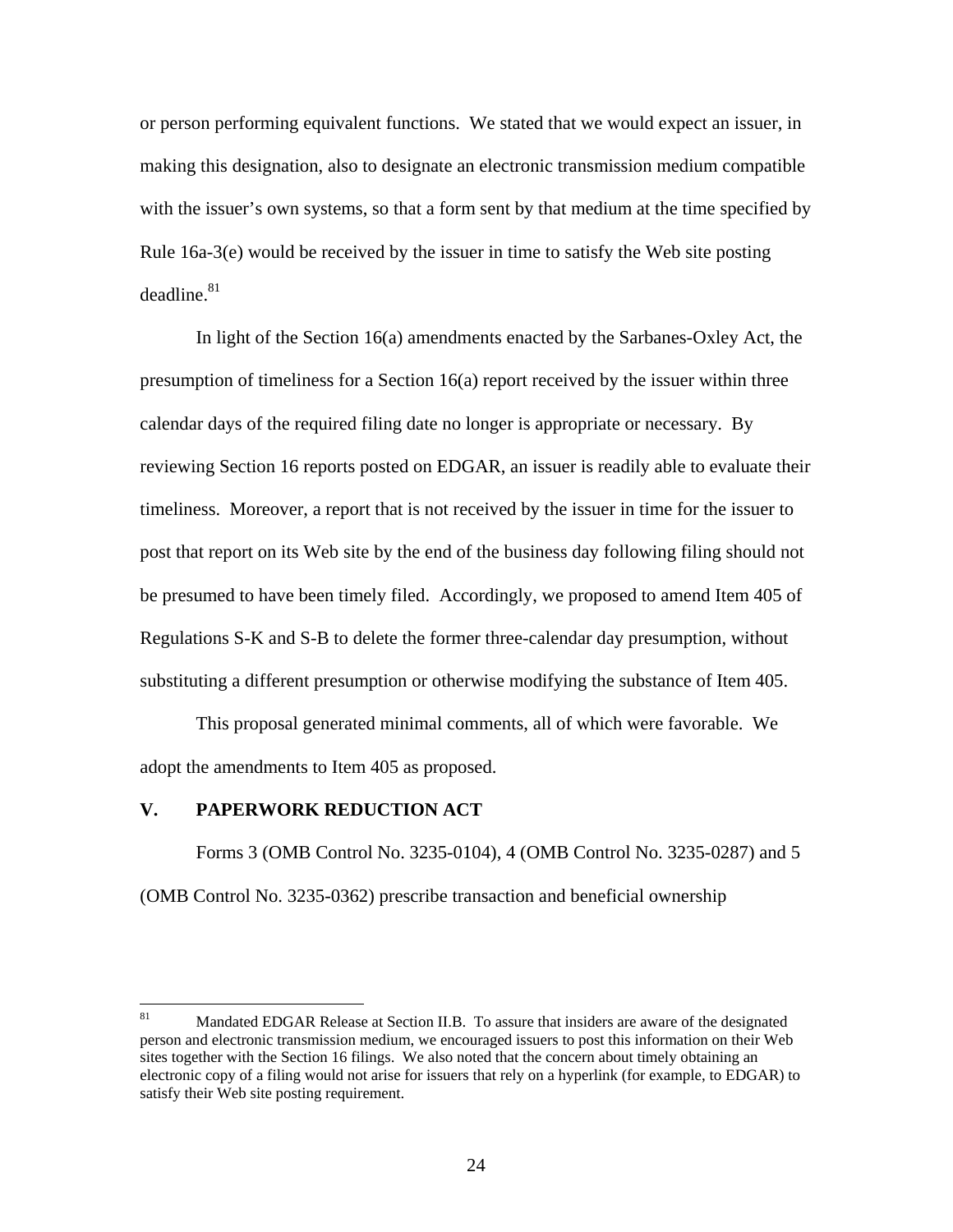or person performing equivalent functions. We stated that we would expect an issuer, in making this designation, also to designate an electronic transmission medium compatible with the issuer's own systems, so that a form sent by that medium at the time specified by Rule 16a-3(e) would be received by the issuer in time to satisfy the Web site posting  $deadline.<sup>81</sup>$ 

 In light of the Section 16(a) amendments enacted by the Sarbanes-Oxley Act, the presumption of timeliness for a Section 16(a) report received by the issuer within three calendar days of the required filing date no longer is appropriate or necessary. By reviewing Section 16 reports posted on EDGAR, an issuer is readily able to evaluate their timeliness. Moreover, a report that is not received by the issuer in time for the issuer to post that report on its Web site by the end of the business day following filing should not be presumed to have been timely filed. Accordingly, we proposed to amend Item 405 of Regulations S-K and S-B to delete the former three-calendar day presumption, without substituting a different presumption or otherwise modifying the substance of Item 405.

 This proposal generated minimal comments, all of which were favorable. We adopt the amendments to Item 405 as proposed.

### **V. PAPERWORK REDUCTION ACT**

 Forms 3 (OMB Control No. 3235-0104), 4 (OMB Control No. 3235-0287) and 5 (OMB Control No. 3235-0362) prescribe transaction and beneficial ownership

<sup>81</sup> Mandated EDGAR Release at Section II.B. To assure that insiders are aware of the designated person and electronic transmission medium, we encouraged issuers to post this information on their Web sites together with the Section 16 filings. We also noted that the concern about timely obtaining an electronic copy of a filing would not arise for issuers that rely on a hyperlink (for example, to EDGAR) to satisfy their Web site posting requirement.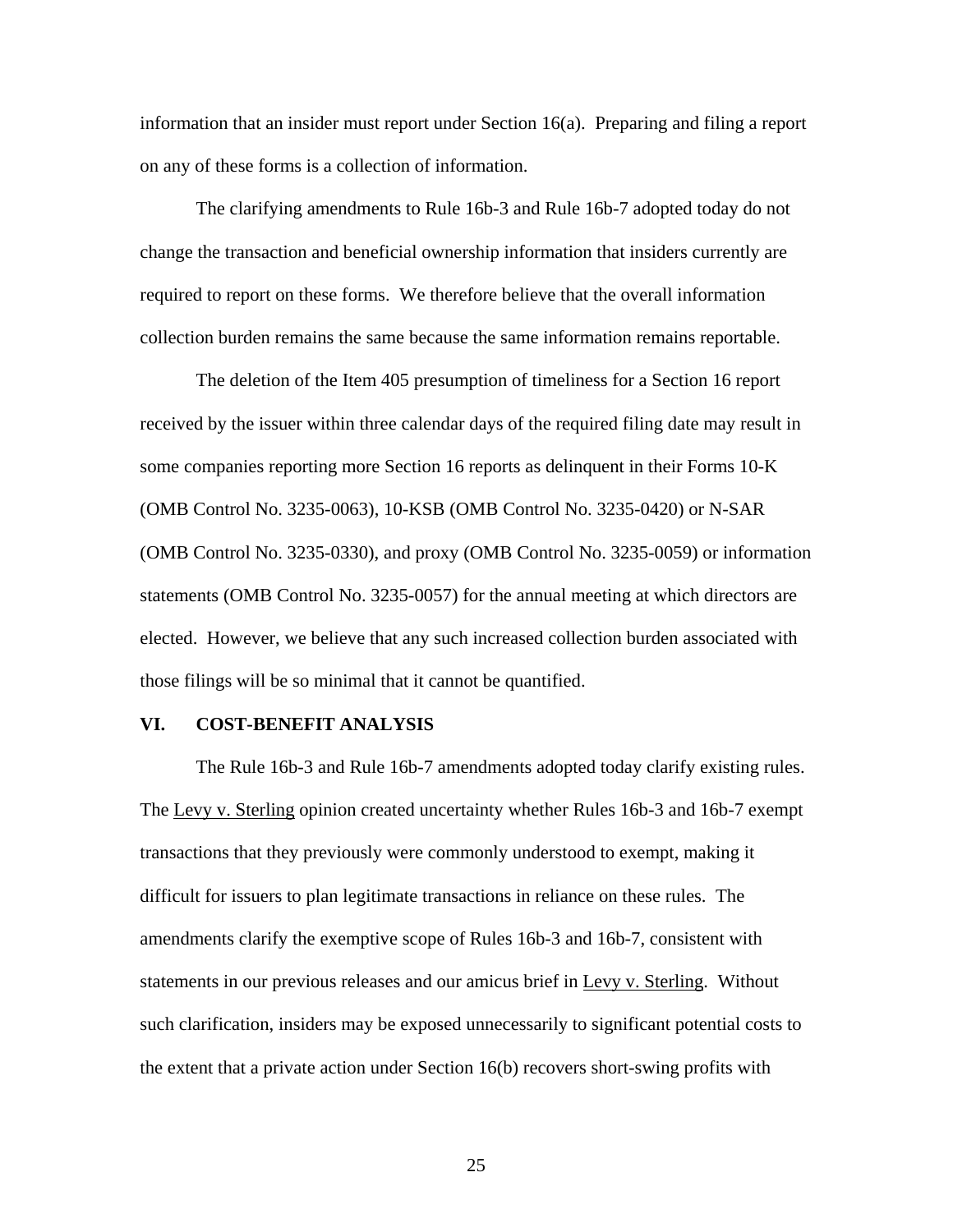information that an insider must report under Section 16(a). Preparing and filing a report on any of these forms is a collection of information.

 The clarifying amendments to Rule 16b-3 and Rule 16b-7 adopted today do not change the transaction and beneficial ownership information that insiders currently are required to report on these forms. We therefore believe that the overall information collection burden remains the same because the same information remains reportable.

The deletion of the Item 405 presumption of timeliness for a Section 16 report received by the issuer within three calendar days of the required filing date may result in some companies reporting more Section 16 reports as delinquent in their Forms 10-K (OMB Control No. 3235-0063), 10-KSB (OMB Control No. 3235-0420) or N-SAR (OMB Control No. 3235-0330), and proxy (OMB Control No. 3235-0059) or information statements (OMB Control No. 3235-0057) for the annual meeting at which directors are elected. However, we believe that any such increased collection burden associated with those filings will be so minimal that it cannot be quantified.

### **VI. COST-BENEFIT ANALYSIS**

 The Rule 16b-3 and Rule 16b-7 amendments adopted today clarify existing rules. The Levy v. Sterling opinion created uncertainty whether Rules 16b-3 and 16b-7 exempt transactions that they previously were commonly understood to exempt, making it difficult for issuers to plan legitimate transactions in reliance on these rules. The amendments clarify the exemptive scope of Rules 16b-3 and 16b-7, consistent with statements in our previous releases and our amicus brief in Levy v. Sterling. Without such clarification, insiders may be exposed unnecessarily to significant potential costs to the extent that a private action under Section 16(b) recovers short-swing profits with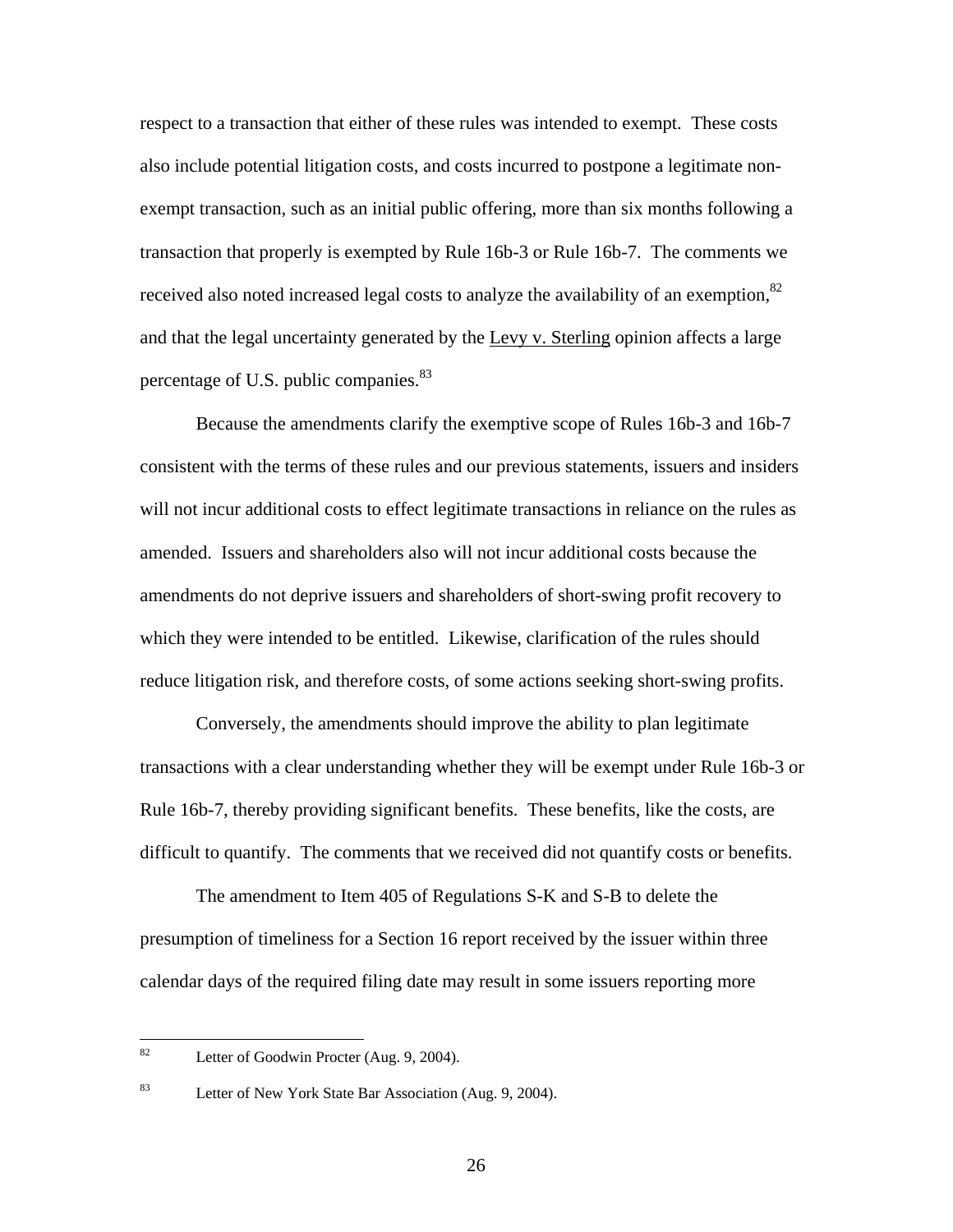respect to a transaction that either of these rules was intended to exempt. These costs also include potential litigation costs, and costs incurred to postpone a legitimate nonexempt transaction, such as an initial public offering, more than six months following a transaction that properly is exempted by Rule 16b-3 or Rule 16b-7. The comments we received also noted increased legal costs to analyze the availability of an exemption, $82$ and that the legal uncertainty generated by the Levy v. Sterling opinion affects a large percentage of U.S. public companies.<sup>83</sup>

 Because the amendments clarify the exemptive scope of Rules 16b-3 and 16b-7 consistent with the terms of these rules and our previous statements, issuers and insiders will not incur additional costs to effect legitimate transactions in reliance on the rules as amended. Issuers and shareholders also will not incur additional costs because the amendments do not deprive issuers and shareholders of short-swing profit recovery to which they were intended to be entitled. Likewise, clarification of the rules should reduce litigation risk, and therefore costs, of some actions seeking short-swing profits.

Conversely, the amendments should improve the ability to plan legitimate transactions with a clear understanding whether they will be exempt under Rule 16b-3 or Rule 16b-7, thereby providing significant benefits. These benefits, like the costs, are difficult to quantify. The comments that we received did not quantify costs or benefits.

 The amendment to Item 405 of Regulations S-K and S-B to delete the presumption of timeliness for a Section 16 report received by the issuer within three calendar days of the required filing date may result in some issuers reporting more

<sup>82</sup> Letter of Goodwin Procter (Aug. 9, 2004).

<sup>83</sup> Letter of New York State Bar Association (Aug. 9, 2004).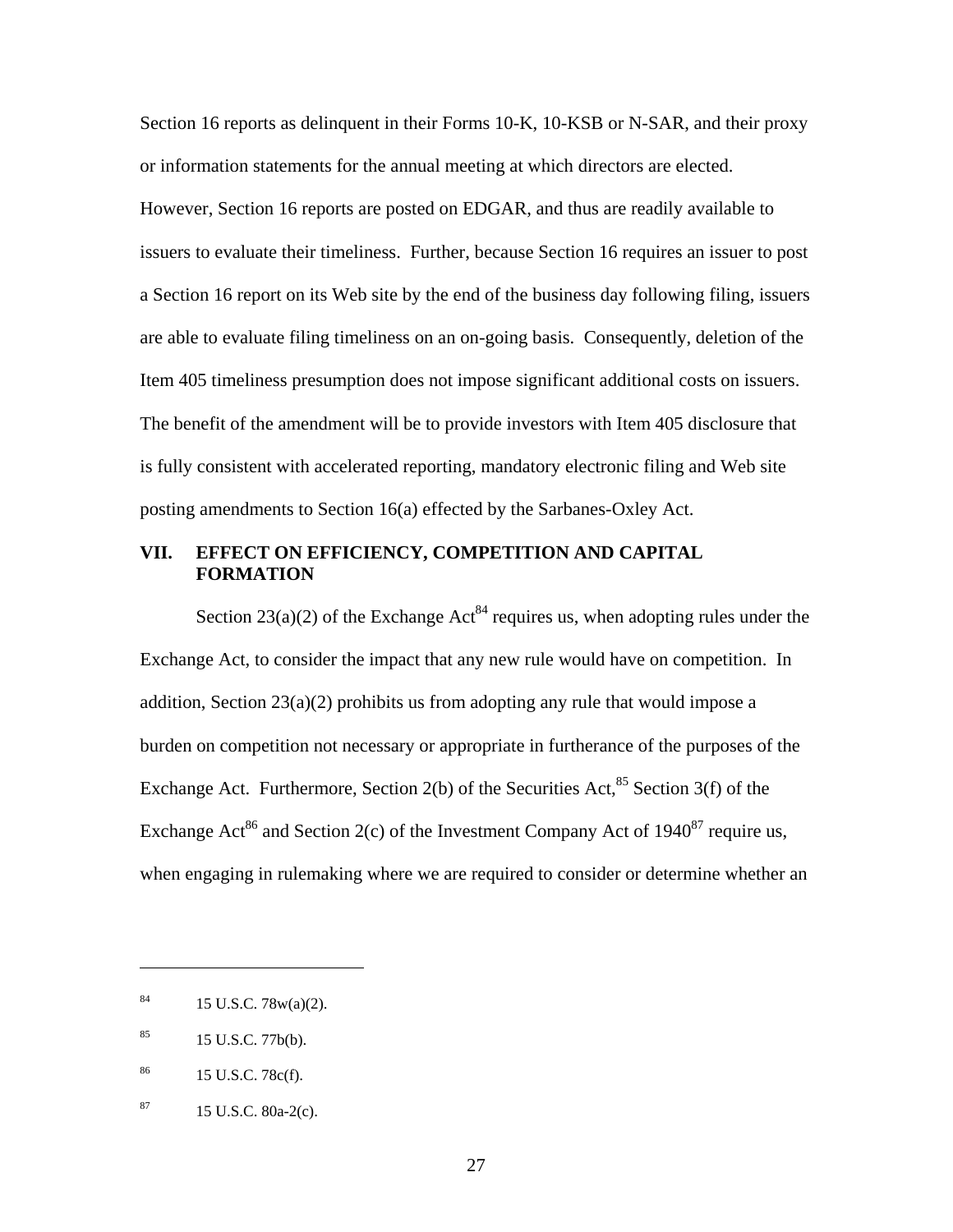Section 16 reports as delinquent in their Forms 10-K, 10-KSB or N-SAR, and their proxy or information statements for the annual meeting at which directors are elected. However, Section 16 reports are posted on EDGAR, and thus are readily available to issuers to evaluate their timeliness. Further, because Section 16 requires an issuer to post a Section 16 report on its Web site by the end of the business day following filing, issuers are able to evaluate filing timeliness on an on-going basis. Consequently, deletion of the Item 405 timeliness presumption does not impose significant additional costs on issuers. The benefit of the amendment will be to provide investors with Item 405 disclosure that is fully consistent with accelerated reporting, mandatory electronic filing and Web site posting amendments to Section 16(a) effected by the Sarbanes-Oxley Act.

# **VII. EFFECT ON EFFICIENCY, COMPETITION AND CAPITAL FORMATION**

Section 23(a)(2) of the Exchange Act<sup>84</sup> requires us, when adopting rules under the Exchange Act, to consider the impact that any new rule would have on competition. In addition, Section  $23(a)(2)$  prohibits us from adopting any rule that would impose a burden on competition not necessary or appropriate in furtherance of the purposes of the Exchange Act. Furthermore, Section 2(b) of the Securities Act, $85$  Section 3(f) of the Exchange Act<sup>86</sup> and Section 2(c) of the Investment Company Act of  $1940^{87}$  require us, when engaging in rulemaking where we are required to consider or determine whether an

 $\overline{a}$ 

 $84$  15 U.S.C. 78w(a)(2).

 $^{85}$  15 U.S.C. 77b(b).

 $^{86}$  15 U.S.C. 78c(f).

 $87$  15 U.S.C.  $80a-2(c)$ .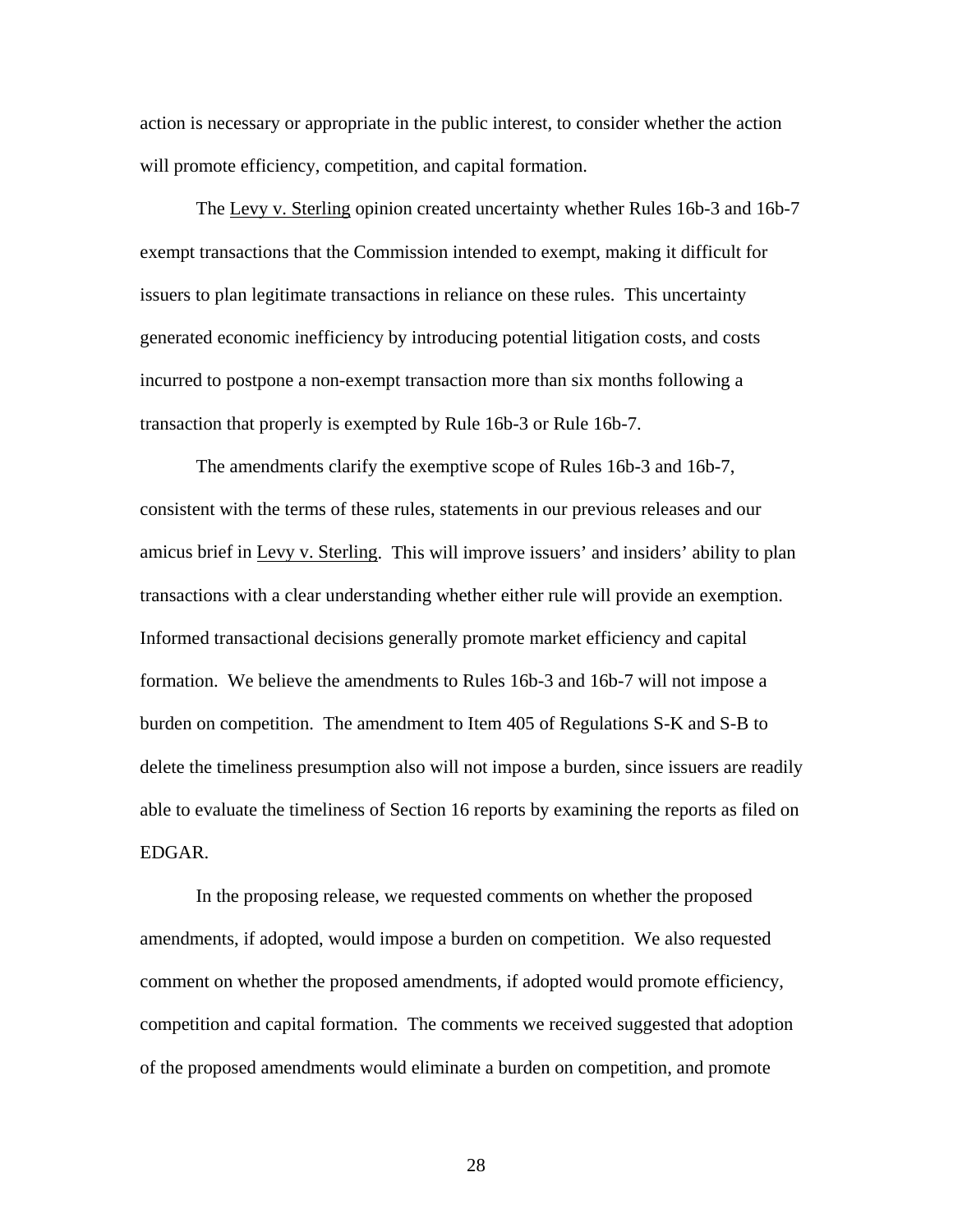action is necessary or appropriate in the public interest, to consider whether the action will promote efficiency, competition, and capital formation.

The Levy v. Sterling opinion created uncertainty whether Rules 16b-3 and 16b-7 exempt transactions that the Commission intended to exempt, making it difficult for issuers to plan legitimate transactions in reliance on these rules. This uncertainty generated economic inefficiency by introducing potential litigation costs, and costs incurred to postpone a non-exempt transaction more than six months following a transaction that properly is exempted by Rule 16b-3 or Rule 16b-7.

The amendments clarify the exemptive scope of Rules 16b-3 and 16b-7, consistent with the terms of these rules, statements in our previous releases and our amicus brief in Levy v. Sterling. This will improve issuers' and insiders' ability to plan transactions with a clear understanding whether either rule will provide an exemption. Informed transactional decisions generally promote market efficiency and capital formation. We believe the amendments to Rules 16b-3 and 16b-7 will not impose a burden on competition. The amendment to Item 405 of Regulations S-K and S-B to delete the timeliness presumption also will not impose a burden, since issuers are readily able to evaluate the timeliness of Section 16 reports by examining the reports as filed on EDGAR.

In the proposing release, we requested comments on whether the proposed amendments, if adopted, would impose a burden on competition. We also requested comment on whether the proposed amendments, if adopted would promote efficiency, competition and capital formation. The comments we received suggested that adoption of the proposed amendments would eliminate a burden on competition, and promote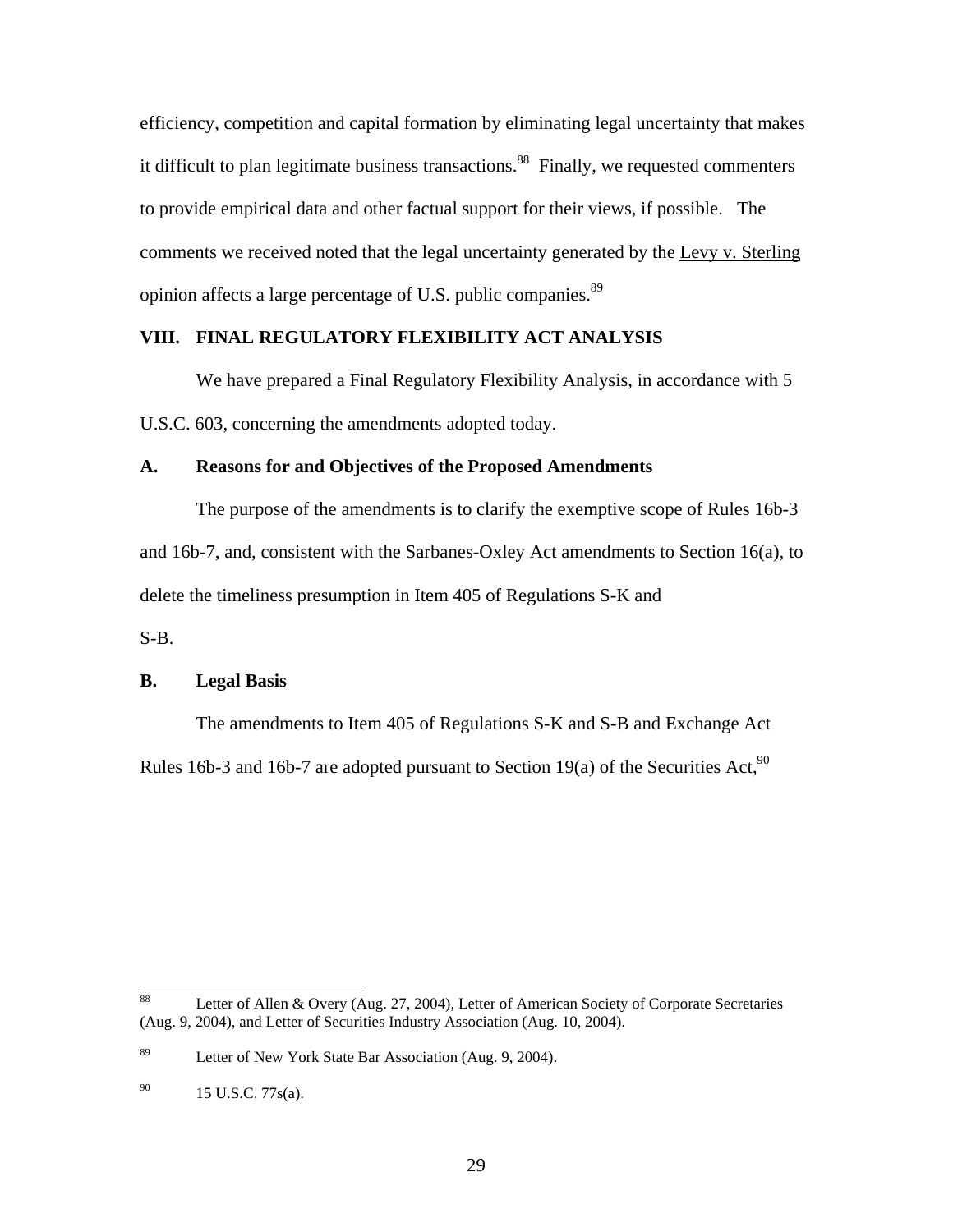efficiency, competition and capital formation by eliminating legal uncertainty that makes it difficult to plan legitimate business transactions.<sup>88</sup> Finally, we requested commenters to provide empirical data and other factual support for their views, if possible. The comments we received noted that the legal uncertainty generated by the Levy v. Sterling opinion affects a large percentage of U.S. public companies.<sup>89</sup>

### **VIII. FINAL REGULATORY FLEXIBILITY ACT ANALYSIS**

We have prepared a Final Regulatory Flexibility Analysis, in accordance with 5 U.S.C. 603, concerning the amendments adopted today.

### **A. Reasons for and Objectives of the Proposed Amendments**

 The purpose of the amendments is to clarify the exemptive scope of Rules 16b-3 and 16b-7, and, consistent with the Sarbanes-Oxley Act amendments to Section 16(a), to delete the timeliness presumption in Item 405 of Regulations S-K and

S-B.

### **B. Legal Basis**

 The amendments to Item 405 of Regulations S-K and S-B and Exchange Act Rules 16b-3 and 16b-7 are adopted pursuant to Section 19(a) of the Securities Act,  $90$ 

<sup>88</sup> Letter of Allen & Overy (Aug. 27, 2004), Letter of American Society of Corporate Secretaries (Aug. 9, 2004), and Letter of Securities Industry Association (Aug. 10, 2004).

<sup>&</sup>lt;sup>89</sup> Letter of New York State Bar Association (Aug. 9, 2004).

 $^{90}$  15 U.S.C. 77s(a).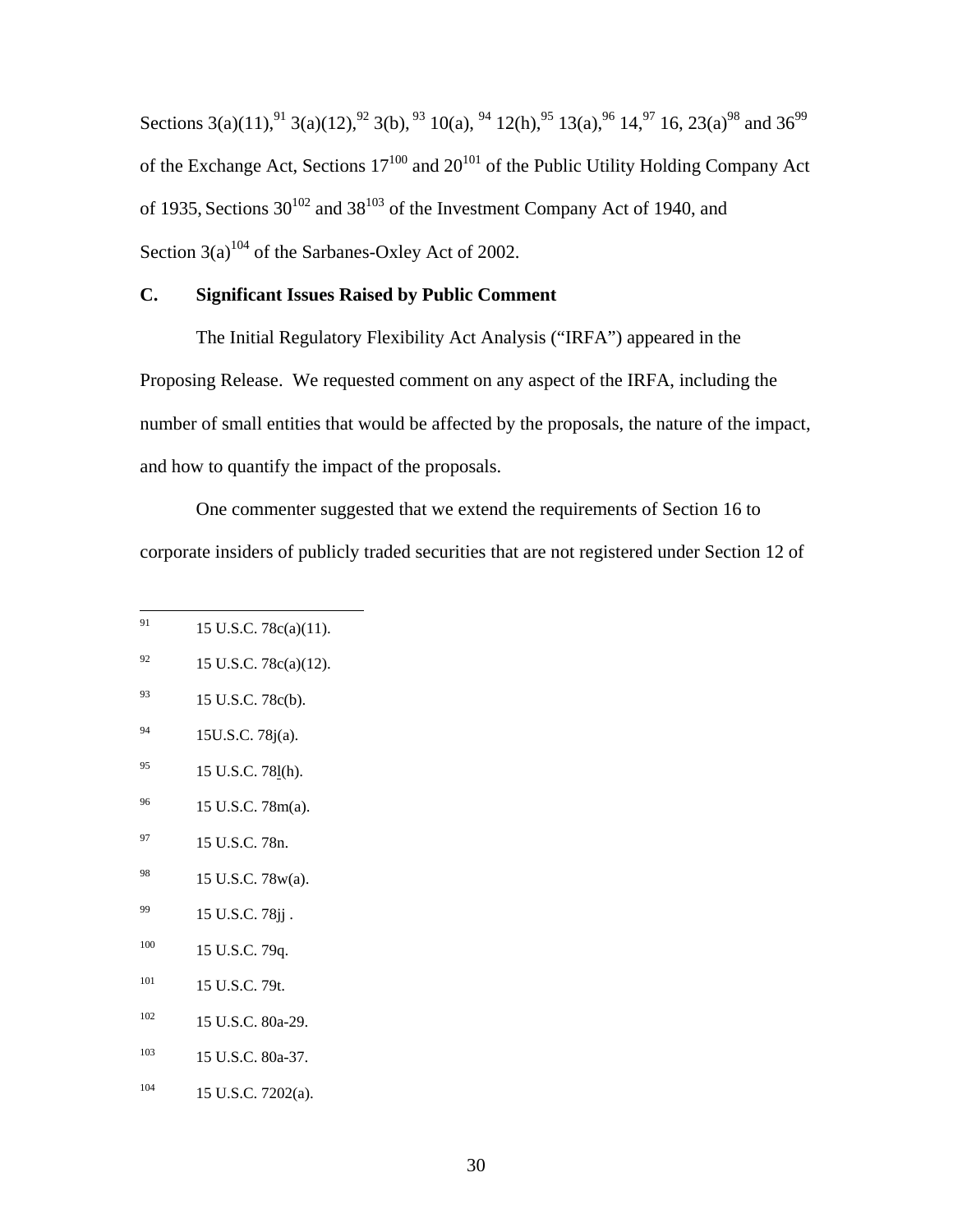Sections 3(a)(11),<sup>91</sup> 3(a)(12),<sup>92</sup> 3(b),<sup>93</sup> 10(a), <sup>94</sup> 12(h),<sup>95</sup> 13(a),<sup>96</sup> 14,<sup>97</sup> 16, 23(a)<sup>98</sup> and 36<sup>99</sup> of the Exchange Act, Sections  $17^{100}$  and  $20^{101}$  of the Public Utility Holding Company Act of 1935, Sections  $30^{102}$  and  $38^{103}$  of the Investment Company Act of 1940, and Section  $3(a)^{104}$  of the Sarbanes-Oxley Act of 2002.

# **C. Significant Issues Raised by Public Comment**

The Initial Regulatory Flexibility Act Analysis ("IRFA") appeared in the Proposing Release. We requested comment on any aspect of the IRFA, including the number of small entities that would be affected by the proposals, the nature of the impact, and how to quantify the impact of the proposals.

One commenter suggested that we extend the requirements of Section 16 to corporate insiders of publicly traded securities that are not registered under Section 12 of

- $^{92}$  15 U.S.C. 78c(a)(12).
- <sup>93</sup> 15 U.S.C. 78c(b).
- $^{94}$  15U.S.C. 78j(a).
- $^{95}$  15 U.S.C. 781(h).
- 96 15 U.S.C. 78m(a).
- $^{97}$  15 U.S.C. 78n.
- 98 15 U.S.C. 78w(a).
- $^{99}$  15 U.S.C. 78jj.
- <sup>100</sup> 15 U.S.C. 79q.
- 101 15 U.S.C. 79t.
- 102 15 U.S.C. 80a-29.
- 103 15 U.S.C. 80a-37.
- $104$  15 U.S.C. 7202(a).

<sup>91</sup> 15 U.S.C. 78c(a)(11).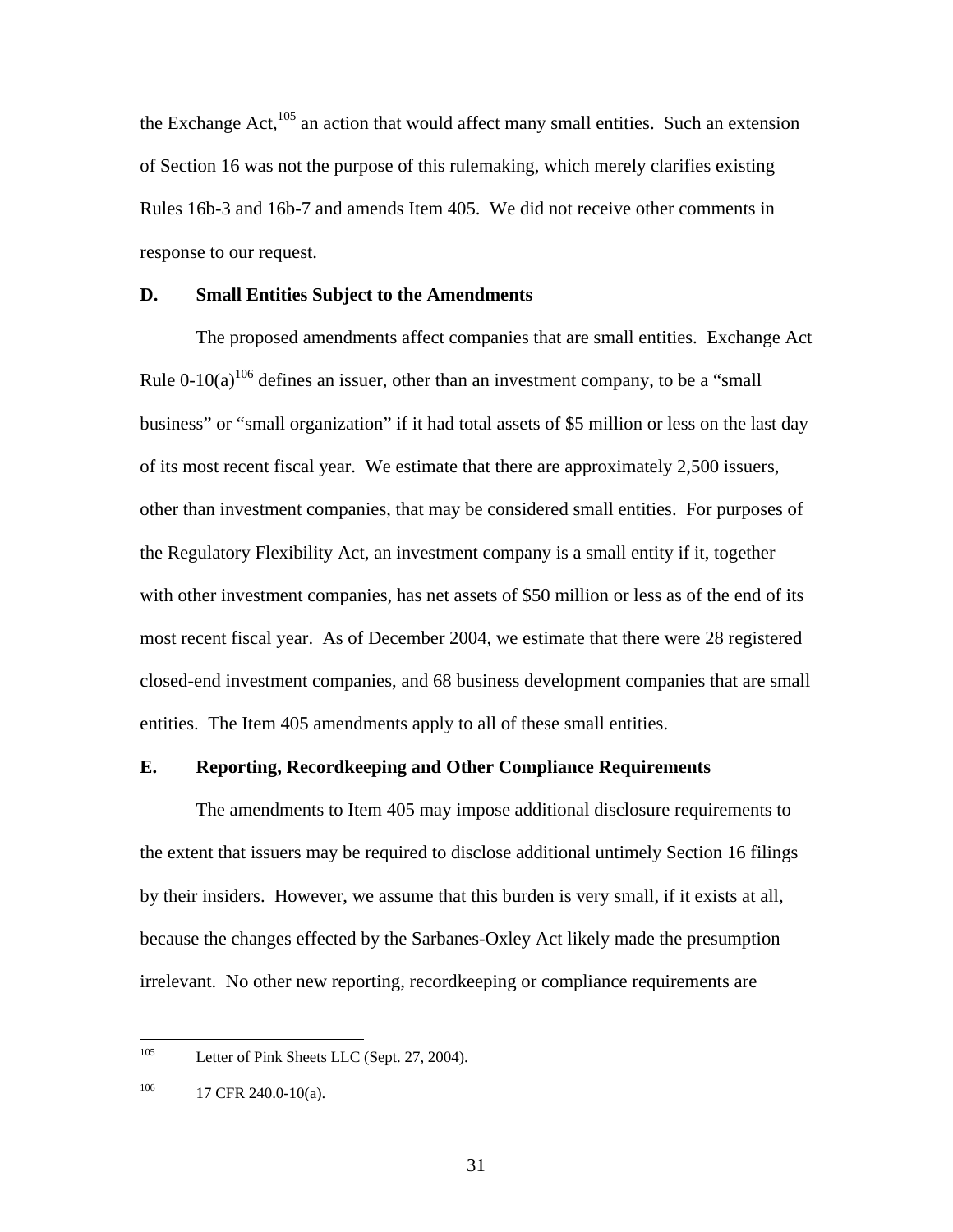the Exchange  $Act<sub>1</sub><sup>105</sup>$  an action that would affect many small entities. Such an extension of Section 16 was not the purpose of this rulemaking, which merely clarifies existing Rules 16b-3 and 16b-7 and amends Item 405. We did not receive other comments in response to our request.

### **D. Small Entities Subject to the Amendments**

 The proposed amendments affect companies that are small entities. Exchange Act Rule 0-10(a)<sup>106</sup> defines an issuer, other than an investment company, to be a "small" business" or "small organization" if it had total assets of \$5 million or less on the last day of its most recent fiscal year. We estimate that there are approximately 2,500 issuers, other than investment companies, that may be considered small entities. For purposes of the Regulatory Flexibility Act, an investment company is a small entity if it, together with other investment companies, has net assets of \$50 million or less as of the end of its most recent fiscal year. As of December 2004, we estimate that there were 28 registered closed-end investment companies, and 68 business development companies that are small entities. The Item 405 amendments apply to all of these small entities.

### **E. Reporting, Recordkeeping and Other Compliance Requirements**

 The amendments to Item 405 may impose additional disclosure requirements to the extent that issuers may be required to disclose additional untimely Section 16 filings by their insiders. However, we assume that this burden is very small, if it exists at all, because the changes effected by the Sarbanes-Oxley Act likely made the presumption irrelevant. No other new reporting, recordkeeping or compliance requirements are

 $105$ Letter of Pink Sheets LLC (Sept. 27, 2004).

 $10^{106}$  17 CFR 240.0-10(a).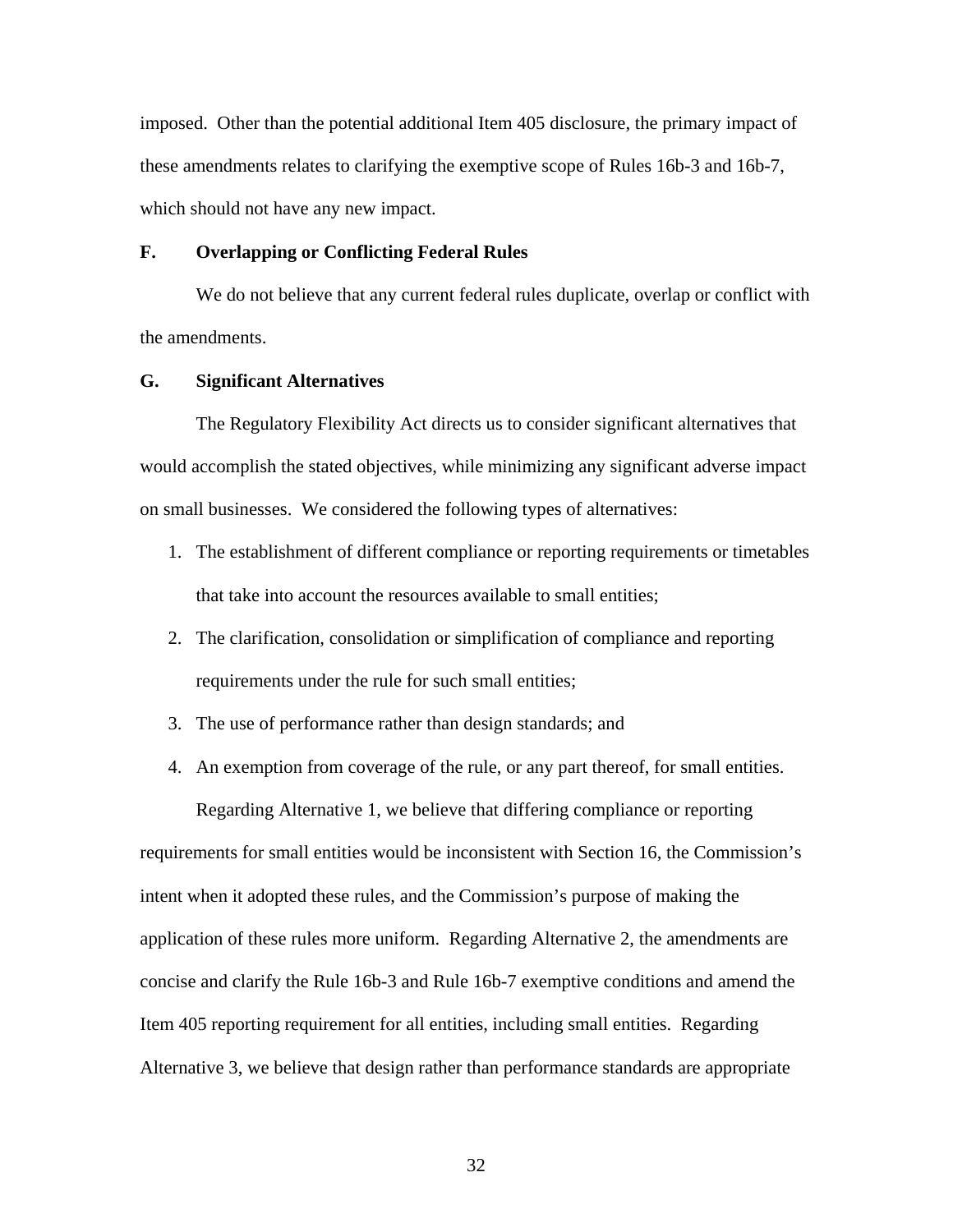imposed. Other than the potential additional Item 405 disclosure, the primary impact of these amendments relates to clarifying the exemptive scope of Rules 16b-3 and 16b-7, which should not have any new impact.

### **F. Overlapping or Conflicting Federal Rules**

 We do not believe that any current federal rules duplicate, overlap or conflict with the amendments.

# **G. Significant Alternatives**

 The Regulatory Flexibility Act directs us to consider significant alternatives that would accomplish the stated objectives, while minimizing any significant adverse impact on small businesses. We considered the following types of alternatives:

- 1. The establishment of different compliance or reporting requirements or timetables that take into account the resources available to small entities;
- 2. The clarification, consolidation or simplification of compliance and reporting requirements under the rule for such small entities;
- 3. The use of performance rather than design standards; and
- 4. An exemption from coverage of the rule, or any part thereof, for small entities. Regarding Alternative 1, we believe that differing compliance or reporting

requirements for small entities would be inconsistent with Section 16, the Commission's intent when it adopted these rules, and the Commission's purpose of making the application of these rules more uniform. Regarding Alternative 2, the amendments are concise and clarify the Rule 16b-3 and Rule 16b-7 exemptive conditions and amend the Item 405 reporting requirement for all entities, including small entities. Regarding Alternative 3, we believe that design rather than performance standards are appropriate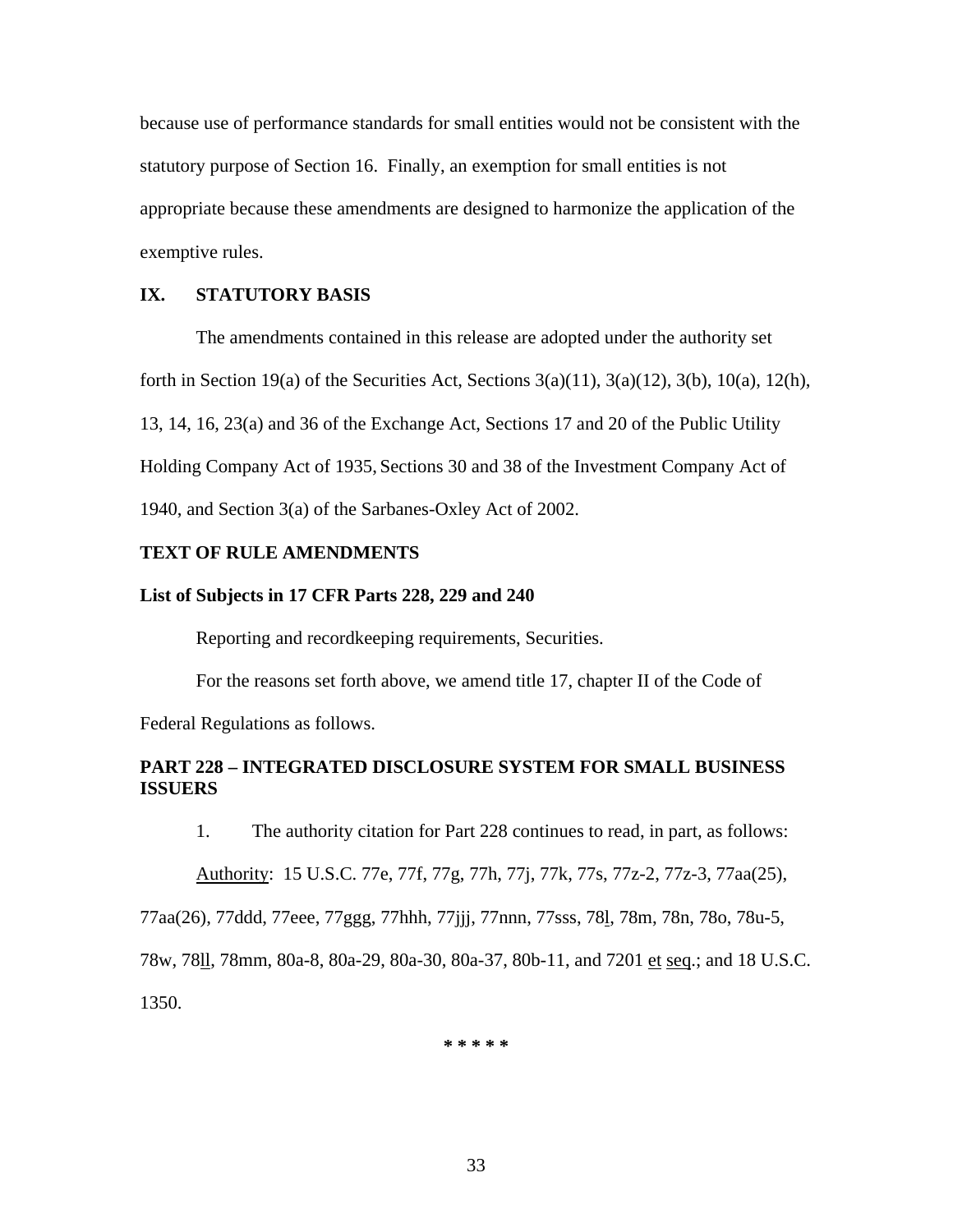because use of performance standards for small entities would not be consistent with the statutory purpose of Section 16. Finally, an exemption for small entities is not appropriate because these amendments are designed to harmonize the application of the exemptive rules.

# **IX. STATUTORY BASIS**

The amendments contained in this release are adopted under the authority set forth in Section 19(a) of the Securities Act, Sections  $3(a)(11)$ ,  $3(a)(12)$ ,  $3(b)$ ,  $10(a)$ ,  $12(h)$ , 13, 14, 16, 23(a) and 36 of the Exchange Act, Sections 17 and 20 of the Public Utility Holding Company Act of 1935, Sections 30 and 38 of the Investment Company Act of 1940, and Section 3(a) of the Sarbanes-Oxley Act of 2002.

### **TEXT OF RULE AMENDMENTS**

### **List of Subjects in 17 CFR Parts 228, 229 and 240**

Reporting and recordkeeping requirements, Securities.

For the reasons set forth above, we amend title 17, chapter II of the Code of Federal Regulations as follows.

# **PART 228 – INTEGRATED DISCLOSURE SYSTEM FOR SMALL BUSINESS ISSUERS**

1. The authority citation for Part 228 continues to read, in part, as follows:

Authority: 15 U.S.C. 77e, 77f, 77g, 77h, 77j, 77k, 77s, 77z-2, 77z-3, 77aa(25),

77aa(26), 77ddd, 77eee, 77ggg, 77hhh, 77jjj, 77nnn, 77sss, 78l, 78m, 78n, 78o, 78u-5,

78w, 78ll, 78mm, 80a-8, 80a-29, 80a-30, 80a-37, 80b-11, and 7201 et seq.; and 18 U.S.C. 1350.

**\* \* \* \* \***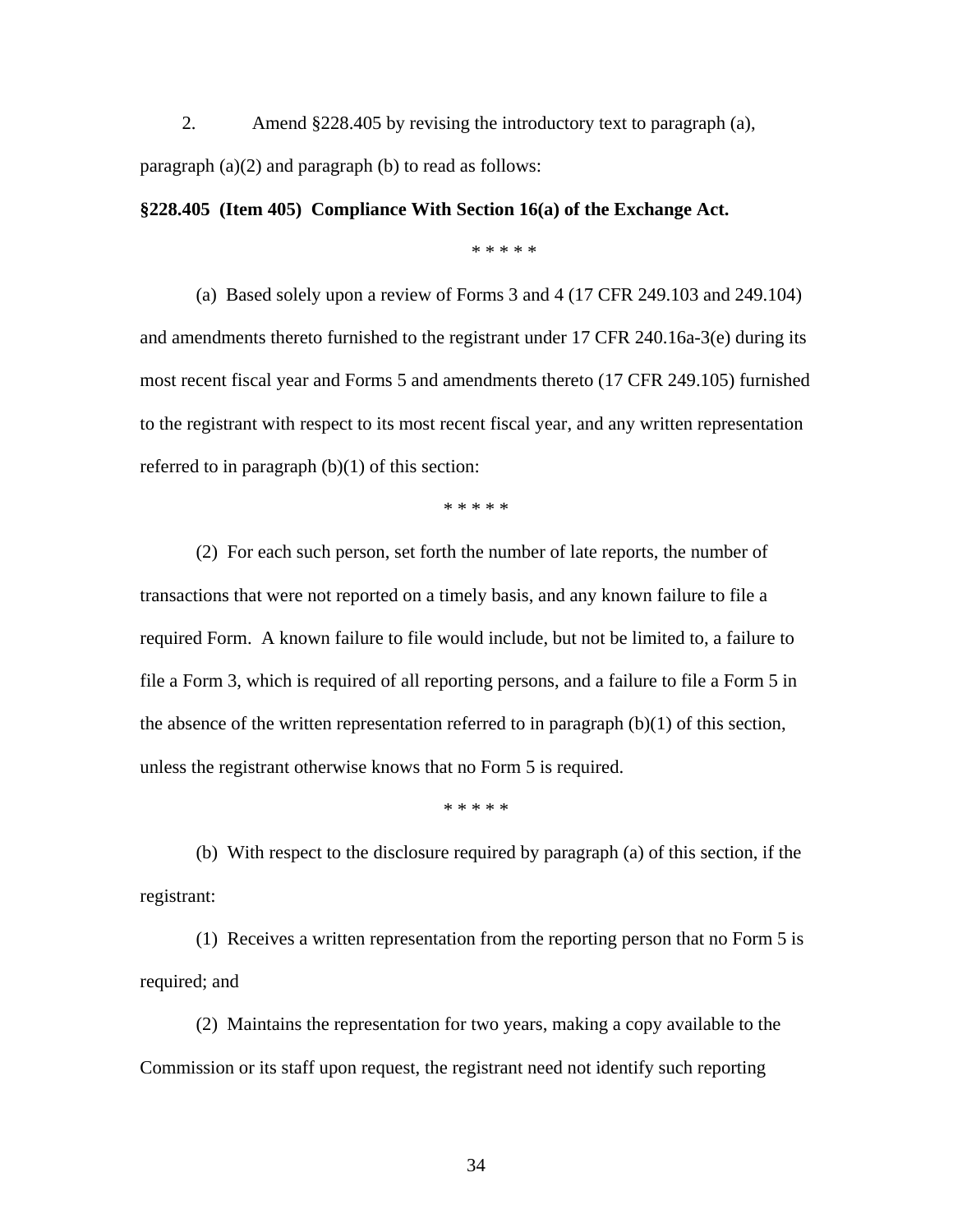2. Amend §228.405 by revising the introductory text to paragraph (a), paragraph (a)(2) and paragraph (b) to read as follows:

**§228.405 (Item 405) Compliance With Section 16(a) of the Exchange Act.** 

\* \* \* \* \*

(a) Based solely upon a review of Forms 3 and 4 (17 CFR 249.103 and 249.104) and amendments thereto furnished to the registrant under 17 CFR 240.16a-3(e) during its most recent fiscal year and Forms 5 and amendments thereto (17 CFR 249.105) furnished to the registrant with respect to its most recent fiscal year, and any written representation referred to in paragraph  $(b)(1)$  of this section:

\* \* \* \* \*

 (2) For each such person, set forth the number of late reports, the number of transactions that were not reported on a timely basis, and any known failure to file a required Form. A known failure to file would include, but not be limited to, a failure to file a Form 3, which is required of all reporting persons, and a failure to file a Form 5 in the absence of the written representation referred to in paragraph (b)(1) of this section, unless the registrant otherwise knows that no Form 5 is required.

\* \* \* \* \*

(b) With respect to the disclosure required by paragraph (a) of this section, if the registrant:

 (1) Receives a written representation from the reporting person that no Form 5 is required; and

 (2) Maintains the representation for two years, making a copy available to the Commission or its staff upon request, the registrant need not identify such reporting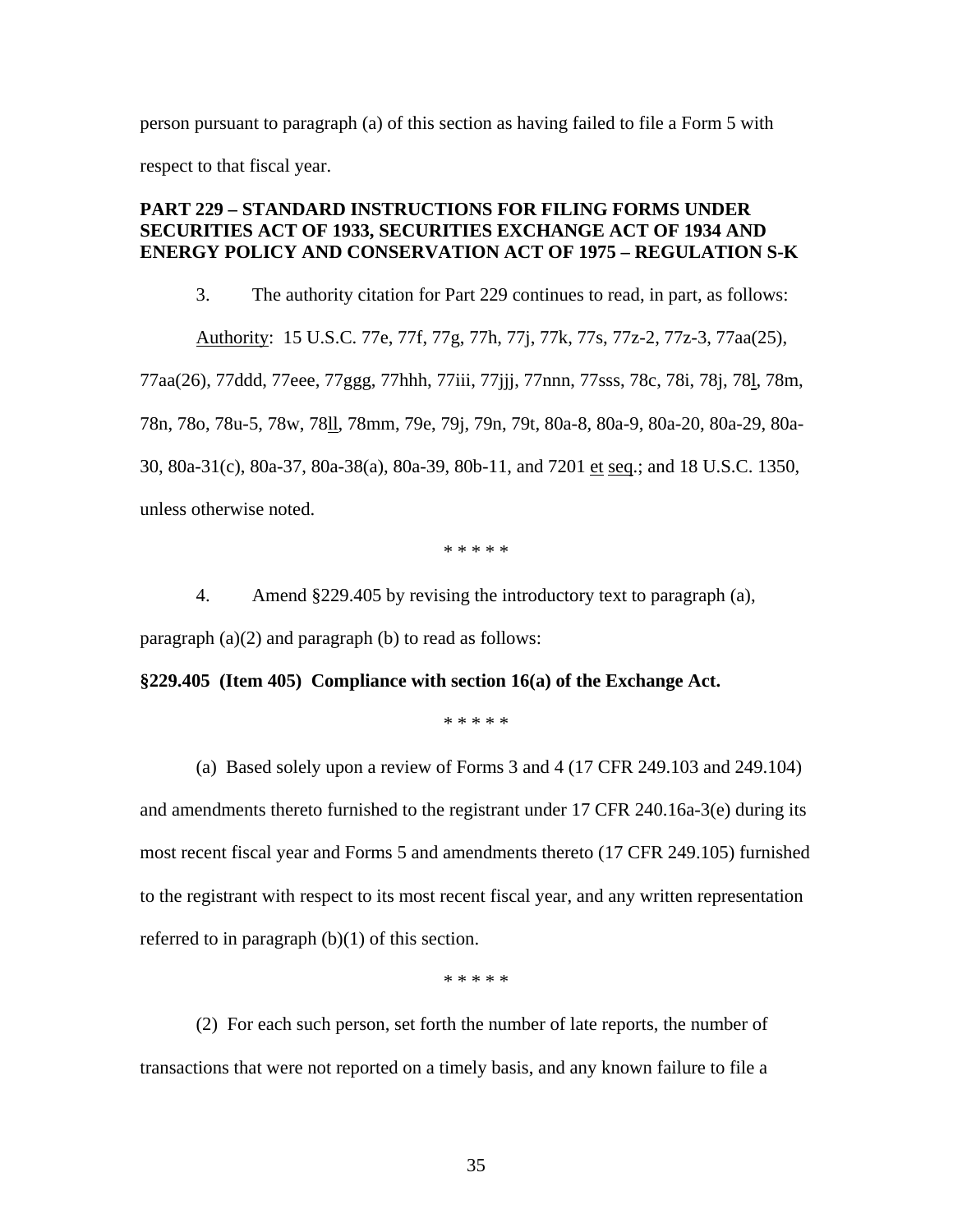person pursuant to paragraph (a) of this section as having failed to file a Form 5 with respect to that fiscal year.

# **PART 229 – STANDARD INSTRUCTIONS FOR FILING FORMS UNDER SECURITIES ACT OF 1933, SECURITIES EXCHANGE ACT OF 1934 AND ENERGY POLICY AND CONSERVATION ACT OF 1975 – REGULATION S-K**

3. The authority citation for Part 229 continues to read, in part, as follows:

 Authority: 15 U.S.C. 77e, 77f, 77g, 77h, 77j, 77k, 77s, 77z-2, 77z-3, 77aa(25), 77aa(26), 77ddd, 77eee, 77ggg, 77hhh, 77iii, 77jjj, 77nnn, 77sss, 78c, 78i, 78j, 78l, 78m, 78n, 78o, 78u-5, 78w, 78ll, 78mm, 79e, 79j, 79n, 79t, 80a-8, 80a-9, 80a-20, 80a-29, 80a-30, 80a-31(c), 80a-37, 80a-38(a), 80a-39, 80b-11, and 7201 et seq.; and 18 U.S.C. 1350, unless otherwise noted.

\* \* \* \* \*

4. Amend §229.405 by revising the introductory text to paragraph (a),

paragraph  $(a)(2)$  and paragraph  $(b)$  to read as follows:

### **§229.405 (Item 405) Compliance with section 16(a) of the Exchange Act.**

\* \* \* \* \*

 (a) Based solely upon a review of Forms 3 and 4 (17 CFR 249.103 and 249.104) and amendments thereto furnished to the registrant under 17 CFR 240.16a-3(e) during its most recent fiscal year and Forms 5 and amendments thereto (17 CFR 249.105) furnished to the registrant with respect to its most recent fiscal year, and any written representation referred to in paragraph  $(b)(1)$  of this section.

\* \* \* \* \*

 (2) For each such person, set forth the number of late reports, the number of transactions that were not reported on a timely basis, and any known failure to file a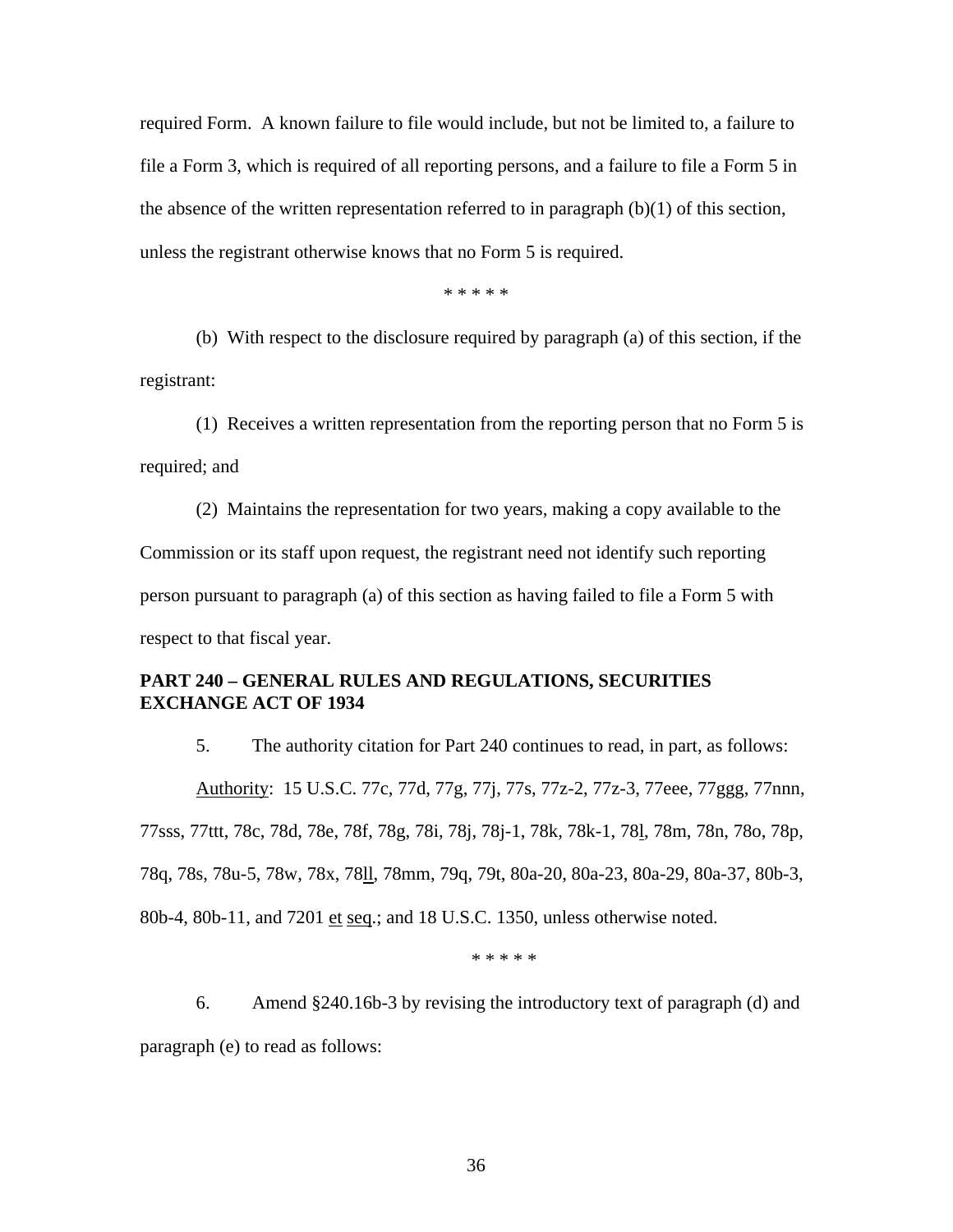required Form. A known failure to file would include, but not be limited to, a failure to file a Form 3, which is required of all reporting persons, and a failure to file a Form 5 in the absence of the written representation referred to in paragraph (b)(1) of this section, unless the registrant otherwise knows that no Form 5 is required.

\* \* \* \* \*

(b) With respect to the disclosure required by paragraph (a) of this section, if the registrant:

(1) Receives a written representation from the reporting person that no Form 5 is required; and

(2) Maintains the representation for two years, making a copy available to the Commission or its staff upon request, the registrant need not identify such reporting person pursuant to paragraph (a) of this section as having failed to file a Form 5 with respect to that fiscal year.

# **PART 240 – GENERAL RULES AND REGULATIONS, SECURITIES EXCHANGE ACT OF 1934**

5. The authority citation for Part 240 continues to read, in part, as follows: Authority: 15 U.S.C. 77c, 77d, 77g, 77j, 77s, 77z-2, 77z-3, 77eee, 77ggg, 77nnn, 77sss, 77ttt, 78c, 78d, 78e, 78f, 78g, 78i, 78j, 78j-1, 78k, 78k-1, 78l, 78m, 78n, 78o, 78p, 78q, 78s, 78u-5, 78w, 78x, 78ll, 78mm, 79q, 79t, 80a-20, 80a-23, 80a-29, 80a-37, 80b-3, 80b-4, 80b-11, and 7201 et seq.; and 18 U.S.C. 1350, unless otherwise noted.

\* \* \* \* \*

6. Amend §240.16b-3 by revising the introductory text of paragraph (d) and paragraph (e) to read as follows: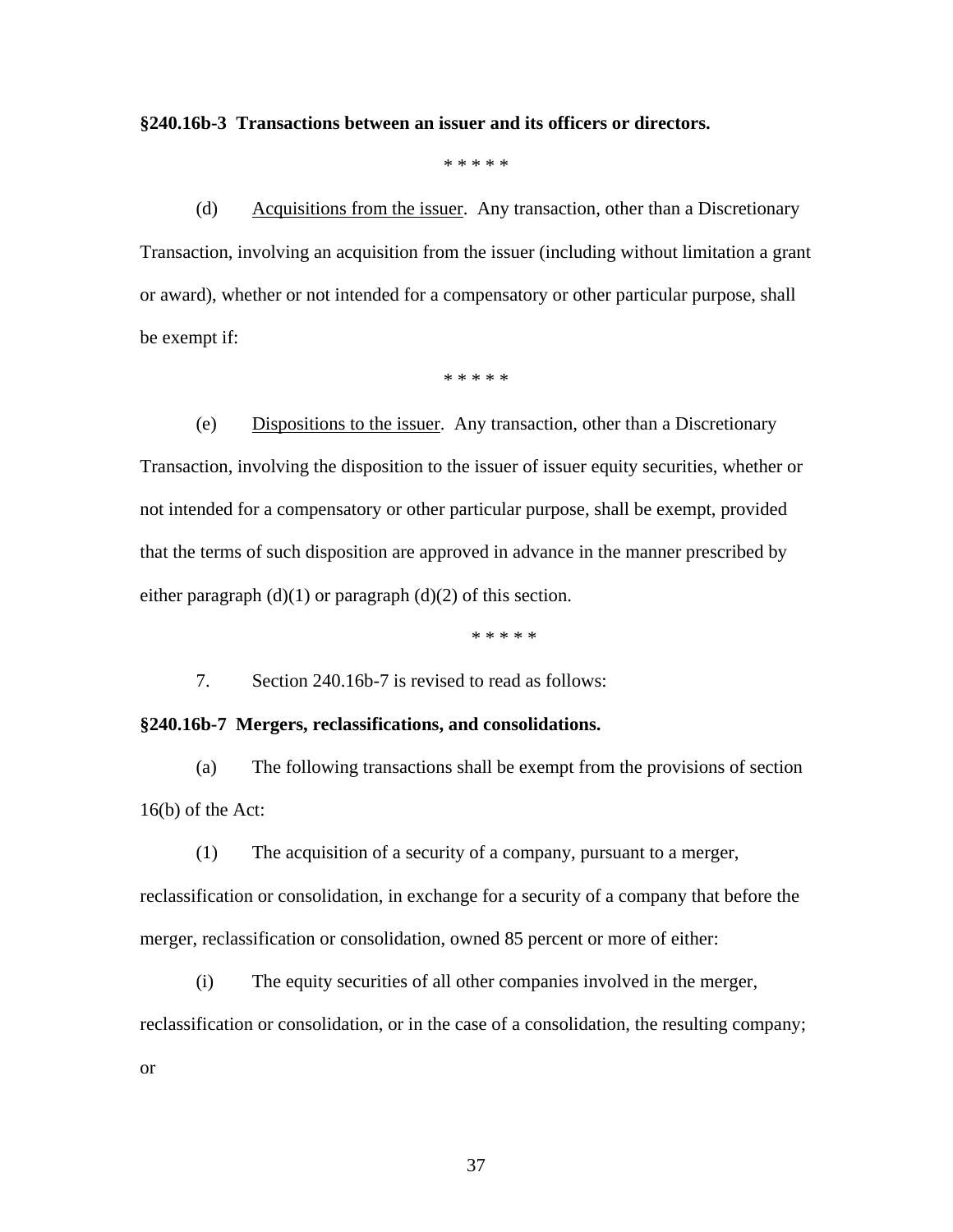### **§240.16b-3 Transactions between an issuer and its officers or directors.**

\* \* \* \* \*

(d) Acquisitions from the issuer. Any transaction, other than a Discretionary Transaction, involving an acquisition from the issuer (including without limitation a grant or award), whether or not intended for a compensatory or other particular purpose, shall be exempt if:

\* \* \* \* \*

(e) Dispositions to the issuer. Any transaction, other than a Discretionary Transaction, involving the disposition to the issuer of issuer equity securities, whether or not intended for a compensatory or other particular purpose, shall be exempt, provided that the terms of such disposition are approved in advance in the manner prescribed by either paragraph  $(d)(1)$  or paragraph  $(d)(2)$  of this section.

\* \* \* \* \*

7. Section 240.16b-7 is revised to read as follows:

### **§240.16b-7 Mergers, reclassifications, and consolidations.**

(a) The following transactions shall be exempt from the provisions of section 16(b) of the Act:

(1) The acquisition of a security of a company, pursuant to a merger,

reclassification or consolidation, in exchange for a security of a company that before the merger, reclassification or consolidation, owned 85 percent or more of either:

(i) The equity securities of all other companies involved in the merger, reclassification or consolidation, or in the case of a consolidation, the resulting company;

or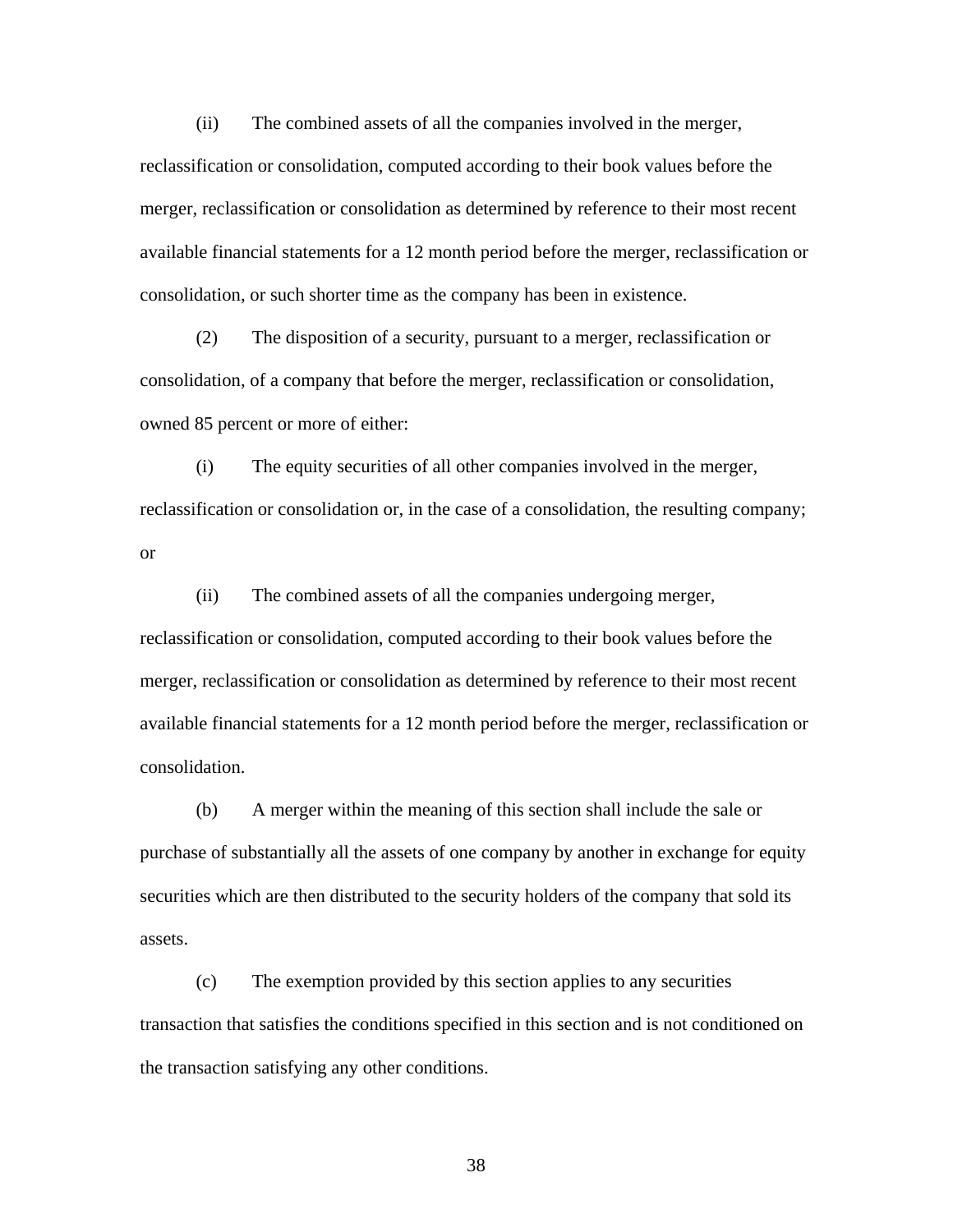(ii) The combined assets of all the companies involved in the merger,

reclassification or consolidation, computed according to their book values before the merger, reclassification or consolidation as determined by reference to their most recent available financial statements for a 12 month period before the merger, reclassification or consolidation, or such shorter time as the company has been in existence.

(2) The disposition of a security, pursuant to a merger, reclassification or consolidation, of a company that before the merger, reclassification or consolidation, owned 85 percent or more of either:

(i) The equity securities of all other companies involved in the merger, reclassification or consolidation or, in the case of a consolidation, the resulting company; or

(ii) The combined assets of all the companies undergoing merger, reclassification or consolidation, computed according to their book values before the merger, reclassification or consolidation as determined by reference to their most recent available financial statements for a 12 month period before the merger, reclassification or consolidation.

(b) A merger within the meaning of this section shall include the sale or purchase of substantially all the assets of one company by another in exchange for equity securities which are then distributed to the security holders of the company that sold its assets.

 (c) The exemption provided by this section applies to any securities transaction that satisfies the conditions specified in this section and is not conditioned on the transaction satisfying any other conditions.